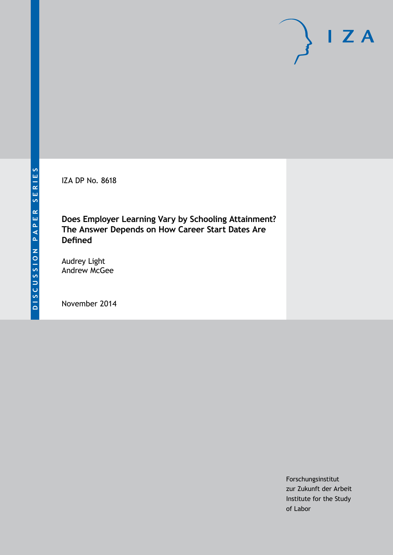IZA DP No. 8618

**Does Employer Learning Vary by Schooling Attainment? The Answer Depends on How Career Start Dates Are Defined**

Audrey Light Andrew McGee

November 2014

Forschungsinstitut zur Zukunft der Arbeit Institute for the Study of Labor

 $I Z A$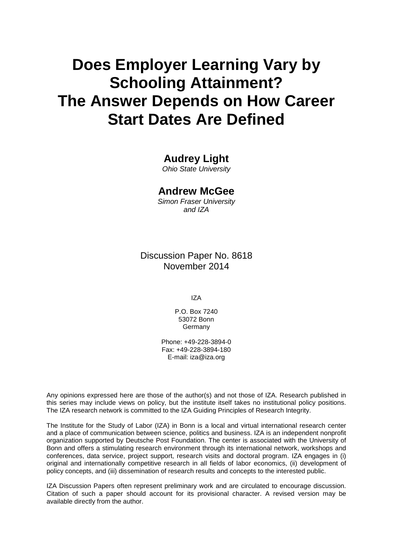# **Does Employer Learning Vary by Schooling Attainment? The Answer Depends on How Career Start Dates Are Defined**

# **Audrey Light**

*Ohio State University*

### **Andrew McGee**

*Simon Fraser University and IZA*

Discussion Paper No. 8618 November 2014

IZA

P.O. Box 7240 53072 Bonn Germany

Phone: +49-228-3894-0 Fax: +49-228-3894-180 E-mail: [iza@iza.org](mailto:iza@iza.org)

Any opinions expressed here are those of the author(s) and not those of IZA. Research published in this series may include views on policy, but the institute itself takes no institutional policy positions. The IZA research network is committed to the IZA Guiding Principles of Research Integrity.

The Institute for the Study of Labor (IZA) in Bonn is a local and virtual international research center and a place of communication between science, politics and business. IZA is an independent nonprofit organization supported by Deutsche Post Foundation. The center is associated with the University of Bonn and offers a stimulating research environment through its international network, workshops and conferences, data service, project support, research visits and doctoral program. IZA engages in (i) original and internationally competitive research in all fields of labor economics, (ii) development of policy concepts, and (iii) dissemination of research results and concepts to the interested public.

IZA Discussion Papers often represent preliminary work and are circulated to encourage discussion. Citation of such a paper should account for its provisional character. A revised version may be available directly from the author.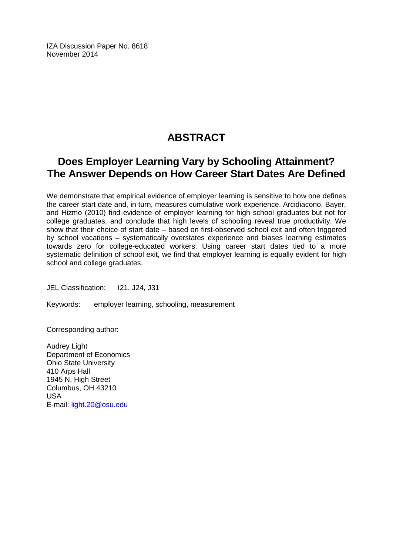IZA Discussion Paper No. 8618 November 2014

# **ABSTRACT**

# **Does Employer Learning Vary by Schooling Attainment? The Answer Depends on How Career Start Dates Are Defined**

We demonstrate that empirical evidence of employer learning is sensitive to how one defines the career start date and, in turn, measures cumulative work experience. Arcidiacono, Bayer, and Hizmo (2010) find evidence of employer learning for high school graduates but not for college graduates, and conclude that high levels of schooling reveal true productivity. We show that their choice of start date – based on first-observed school exit and often triggered by school vacations – systematically overstates experience and biases learning estimates towards zero for college-educated workers. Using career start dates tied to a more systematic definition of school exit, we find that employer learning is equally evident for high school and college graduates.

JEL Classification: I21, J24, J31

Keywords: employer learning, schooling, measurement

Corresponding author:

Audrey Light Department of Economics Ohio State University 410 Arps Hall 1945 N. High Street Columbus, OH 43210 USA E-mail: [light.20@osu.edu](mailto:light.20@osu.edu)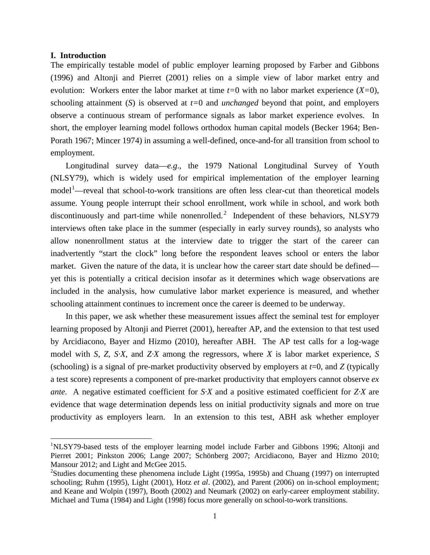#### **I. Introduction**

 $\overline{\phantom{a}}$ 

The empirically testable model of public employer learning proposed by Farber and Gibbons (1996) and Altonji and Pierret (2001) relies on a simple view of labor market entry and evolution: Workers enter the labor market at time *t=*0 with no labor market experience (*X=*0), schooling attainment (*S*) is observed at *t=*0 and *unchanged* beyond that point, and employers observe a continuous stream of performance signals as labor market experience evolves. In short, the employer learning model follows orthodox human capital models (Becker 1964; Ben-Porath 1967; Mincer 1974) in assuming a well-defined, once-and-for all transition from school to employment.

Longitudinal survey data—*e.g*., the 1979 National Longitudinal Survey of Youth (NLSY79), which is widely used for empirical implementation of the employer learning model<sup>1</sup>—reveal that school-to-work transitions are often less clear-cut than theoretical models assume. Young people interrupt their school enrollment, work while in school, and work both discontinuously and part-time while nonenrolled.<sup>[2](#page-3-0)</sup> Independent of these behaviors, NLSY79 interviews often take place in the summer (especially in early survey rounds), so analysts who allow nonenrollment status at the interview date to trigger the start of the career can inadvertently "start the clock" long before the respondent leaves school or enters the labor market. Given the nature of the data, it is unclear how the career start date should be defined yet this is potentially a critical decision insofar as it determines which wage observations are included in the analysis, how cumulative labor market experience is measured, and whether schooling attainment continues to increment once the career is deemed to be underway.

In this paper, we ask whether these measurement issues affect the seminal test for employer learning proposed by Altonji and Pierret (2001), hereafter AP, and the extension to that test used by Arcidiacono, Bayer and Hizmo (2010), hereafter ABH. The AP test calls for a log-wage model with *S*, *Z*, *S·X*, and *Z·X* among the regressors, where *X* is labor market experience, *S* (schooling) is a signal of pre-market productivity observed by employers at  $t=0$ , and  $Z$  (typically a test score) represents a component of pre-market productivity that employers cannot observe *ex ante*. A negative estimated coefficient for *S·X* and a positive estimated coefficient for *Z·X* are evidence that wage determination depends less on initial productivity signals and more on true productivity as employers learn. In an extension to this test, ABH ask whether employer

<sup>&</sup>lt;sup>1</sup>NLSY79-based tests of the employer learning model include Farber and Gibbons 1996; Altonji and Pierret 2001; Pinkston 2006; Lange 2007; Schönberg 2007; Arcidiacono, Bayer and Hizmo 2010; Mansour 2012; and Light and McGee 2015.

<span id="page-3-1"></span><span id="page-3-0"></span><sup>&</sup>lt;sup>2</sup>Studies documenting these phenomena include Light (1995a, 1995b) and Chuang (1997) on interrupted schooling; Ruhm (1995), Light (2001), Hotz *et al*. (2002), and Parent (2006) on in-school employment; and Keane and Wolpin (1997), Booth (2002) and Neumark (2002) on early-career employment stability. Michael and Tuma (1984) and Light (1998) focus more generally on school-to-work transitions.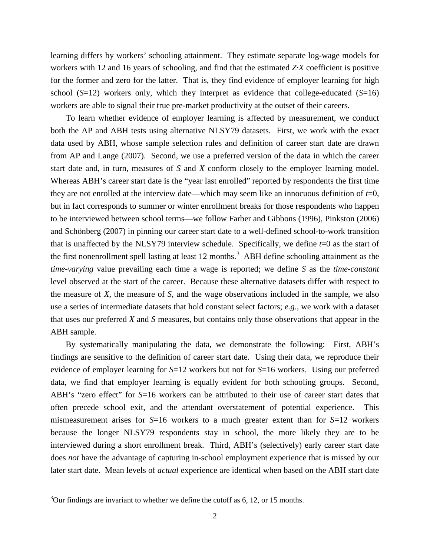learning differs by workers' schooling attainment. They estimate separate log-wage models for workers with 12 and 16 years of schooling, and find that the estimated *Z·X* coefficient is positive for the former and zero for the latter. That is, they find evidence of employer learning for high school (*S*=12) workers only, which they interpret as evidence that college-educated (*S*=16) workers are able to signal their true pre-market productivity at the outset of their careers.

To learn whether evidence of employer learning is affected by measurement, we conduct both the AP and ABH tests using alternative NLSY79 datasets. First, we work with the exact data used by ABH, whose sample selection rules and definition of career start date are drawn from AP and Lange (2007). Second, we use a preferred version of the data in which the career start date and, in turn, measures of *S* and *X* conform closely to the employer learning model. Whereas ABH's career start date is the "year last enrolled" reported by respondents the first time they are not enrolled at the interview date—which may seem like an innocuous definition of *t*=0, but in fact corresponds to summer or winter enrollment breaks for those respondents who happen to be interviewed between school terms—we follow Farber and Gibbons (1996), Pinkston (2006) and Schönberg (2007) in pinning our career start date to a well-defined school-to-work transition that is unaffected by the NLSY79 interview schedule. Specifically, we define *t*=0 as the start of the first nonenrollment spell lasting at least 12 months.<sup>[3](#page-3-1)</sup> ABH define schooling attainment as the *time-varying* value prevailing each time a wage is reported; we define *S* as the *time-constant* level observed at the start of the career. Because these alternative datasets differ with respect to the measure of *X*, the measure of *S*, and the wage observations included in the sample, we also use a series of intermediate datasets that hold constant select factors; *e.g.,* we work with a dataset that uses our preferred *X* and *S* measures, but contains only those observations that appear in the ABH sample.

By systematically manipulating the data, we demonstrate the following: First, ABH's findings are sensitive to the definition of career start date. Using their data, we reproduce their evidence of employer learning for *S*=12 workers but not for *S*=16 workers. Using our preferred data, we find that employer learning is equally evident for both schooling groups. Second, ABH's "zero effect" for  $S=16$  workers can be attributed to their use of career start dates that often precede school exit, and the attendant overstatement of potential experience. This mismeasurement arises for *S*=16 workers to a much greater extent than for *S*=12 workers because the longer NLSY79 respondents stay in school, the more likely they are to be interviewed during a short enrollment break. Third, ABH's (selectively) early career start date does *not* have the advantage of capturing in-school employment experience that is missed by our later start date. Mean levels of *actual* experience are identical when based on the ABH start date

<span id="page-4-0"></span> $\overline{\phantom{a}}$ 

<sup>&</sup>lt;sup>3</sup>Our findings are invariant to whether we define the cutoff as 6, 12, or 15 months.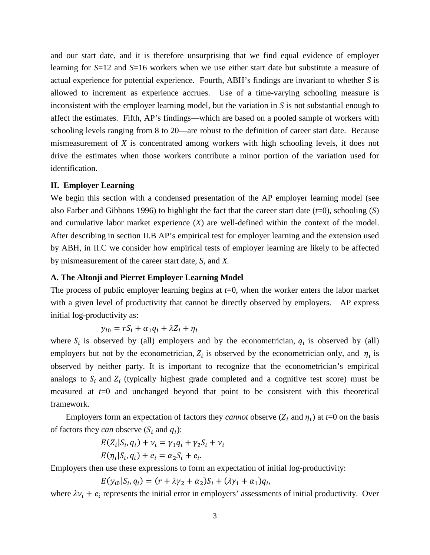and our start date, and it is therefore unsurprising that we find equal evidence of employer learning for *S*=12 and *S*=16 workers when we use either start date but substitute a measure of actual experience for potential experience. Fourth, ABH's findings are invariant to whether *S* is allowed to increment as experience accrues. Use of a time-varying schooling measure is inconsistent with the employer learning model, but the variation in *S* is not substantial enough to affect the estimates. Fifth, AP's findings—which are based on a pooled sample of workers with schooling levels ranging from 8 to 20—are robust to the definition of career start date. Because mismeasurement of *X* is concentrated among workers with high schooling levels, it does not drive the estimates when those workers contribute a minor portion of the variation used for identification.

#### **II. Employer Learning**

We begin this section with a condensed presentation of the AP employer learning model (see also Farber and Gibbons 1996) to highlight the fact that the career start date (*t*=0), schooling (*S*) and cumulative labor market experience (*X*) are well-defined within the context of the model. After describing in section II.B AP's empirical test for employer learning and the extension used by ABH, in II.C we consider how empirical tests of employer learning are likely to be affected by mismeasurement of the career start date, *S*, and *X.*

#### **A. The Altonji and Pierret Employer Learning Model**

The process of public employer learning begins at *t*=0, when the worker enters the labor market with a given level of productivity that cannot be directly observed by employers. AP express initial log-productivity as:

$$
y_{i0} = rS_i + \alpha_1 q_i + \lambda Z_i + \eta_i
$$

where  $S_i$  is observed by (all) employers and by the econometrician,  $q_i$  is observed by (all) employers but not by the econometrician,  $Z_i$  is observed by the econometrician only, and  $\eta_i$  is observed by neither party. It is important to recognize that the econometrician's empirical analogs to  $S_i$  and  $Z_i$  (typically highest grade completed and a cognitive test score) must be measured at  $t=0$  and unchanged beyond that point to be consistent with this theoretical framework.

Employers form an expectation of factors they *cannot* observe  $(Z_i$  and  $\eta_i$ ) at  $t=0$  on the basis of factors they *can* observe  $(S_i$  and  $q_i)$ :

$$
E(Z_i|S_i, q_i) + \nu_i = \gamma_1 q_i + \gamma_2 S_i + \nu_i
$$
  

$$
E(\eta_i|S_i, q_i) + e_i = \alpha_2 S_i + e_i.
$$

Employers then use these expressions to form an expectation of initial log-productivity:

 $E(y_{i0}|S_i, q_i) = (r + \lambda y_2 + \alpha_2)S_i + (\lambda y_1 + \alpha_1)q_i,$ 

where  $\lambda v_i + e_i$  represents the initial error in employers' assessments of initial productivity. Over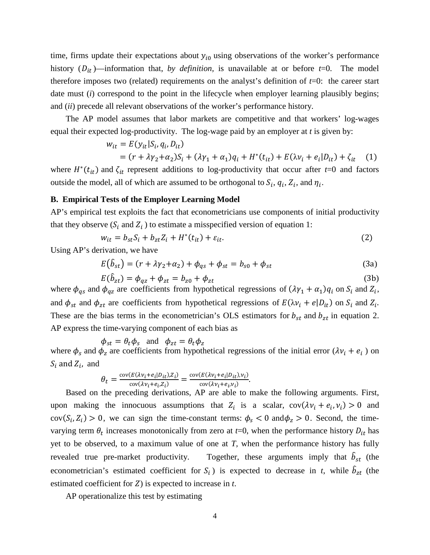time, firms update their expectations about  $y_{i0}$  using observations of the worker's performance history  $(D_{it})$ —information that, *by definition*, is unavailable at or before *t*=0. The model therefore imposes two (related) requirements on the analyst's definition of *t*=0: the career start date must (*i*) correspond to the point in the lifecycle when employer learning plausibly begins; and (*ii*) precede all relevant observations of the worker's performance history.

The AP model assumes that labor markets are competitive and that workers' log-wages equal their expected log-productivity. The log-wage paid by an employer at *t* is given by:

$$
w_{it} = E(y_{it} | S_i, q_i, D_{it})
$$

$$
= (r + \lambda \gamma_2 + \alpha_2)S_i + (\lambda \gamma_1 + \alpha_1)q_i + H^*(t_{it}) + E(\lambda \gamma_i + e_i|D_{it}) + \zeta_{it} \tag{1}
$$

where  $H^*(t_{it})$  and  $\zeta_{it}$  represent additions to log-productivity that occur after *t*=0 and factors outside the model, all of which are assumed to be orthogonal to  $S_i$ ,  $q_i$ ,  $Z_i$ , and  $\eta_i$ .

#### **B. Empirical Tests of the Employer Learning Model**

AP's empirical test exploits the fact that econometricians use components of initial productivity that they observe  $(S_i \text{ and } Z_i)$  to estimate a misspecified version of equation 1:

$$
w_{it} = b_{st} S_i + b_{zt} Z_i + H^*(t_{it}) + \varepsilon_{it}.
$$
\n<sup>(2)</sup>

Using AP's derivation, we have

$$
E(\hat{b}_{st}) = (r + \lambda \gamma_2 + \alpha_2) + \phi_{qs} + \phi_{st} = b_{s0} + \phi_{st}
$$
 (3a)

$$
E(b_{zt}) = \phi_{qz} + \phi_{zt} = b_{z0} + \phi_{zt}
$$
 (3b)

where  $\phi_{qs}$  and  $\phi_{qz}$  are coefficients from hypothetical regressions of  $(\lambda \gamma_1 + \alpha_1) q_i$  on  $S_i$  and  $Z_i$ , and  $\phi_{st}$  and  $\phi_{zt}$  are coefficients from hypothetical regressions of  $E(\lambda v_i + e|D_{it})$  on  $S_i$  and  $Z_i$ . These are the bias terms in the econometrician's OLS estimators for  $b_{st}$  and  $b_{zt}$  in equation 2. AP express the time-varying component of each bias as

$$
\phi_{st} = \theta_t \phi_s
$$
 and  $\phi_{zt} = \theta_t \phi_z$ 

where  $\phi_s$  and  $\phi_z$  are coefficients from hypothetical regressions of the initial error  $(\lambda v_i + e_i)$  on  $S_i$  and  $Z_i$ , and

$$
\theta_t = \frac{\text{cov}(E(\lambda v_i + e_i | D_{it}), Z_i)}{\text{cov}(\lambda v_i + e_i, Z_i)} = \frac{\text{cov}(E(\lambda v_i + e_i | D_{it}), v_i)}{\text{cov}(\lambda v_i + e_i, v_i)}.
$$

Based on the preceding derivations, AP are able to make the following arguments. First, upon making the innocuous assumptions that  $Z_i$  is a scalar,  $cov(\lambda v_i + e_i, v_i) > 0$  and  $cov(S_i, Z_i) > 0$ , we can sign the time-constant terms:  $\phi_s < 0$  and  $\phi_z > 0$ . Second, the timevarying term  $\theta_t$  increases monotonically from zero at *t*=0, when the performance history  $D_{it}$  has yet to be observed, to a maximum value of one at *T,* when the performance history has fully revealed true pre-market productivity. Together, these arguments imply that  $\hat{b}_{st}$  (the econometrician's estimated coefficient for  $S_i$ ) is expected to decrease in *t*, while  $b_{zt}$  (the estimated coefficient for  $Z$ ) is expected to increase in  $t$ .

AP operationalize this test by estimating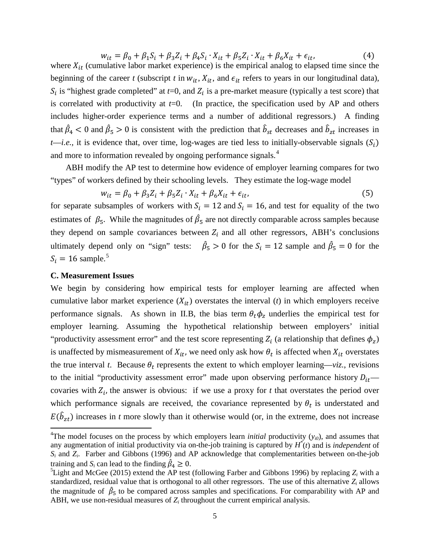$w_{it} = \beta_0 + \beta_1 S_i + \beta_3 Z_i + \beta_4 S_i \cdot X_{it} + \beta_5 Z_i \cdot X_{it} + \beta_6 X_{it} + \epsilon_{it},$  (4) where  $X_{it}$  (cumulative labor market experience) is the empirical analog to elapsed time since the beginning of the career *t* (subscript *t* in  $w_{it}$ ,  $X_{it}$ , and  $\epsilon_{it}$  refers to years in our longitudinal data),  $S_i$  is "highest grade completed" at  $t=0$ , and  $Z_i$  is a pre-market measure (typically a test score) that is correlated with productivity at  $t=0$ . (In practice, the specification used by AP and others includes higher-order experience terms and a number of additional regressors.) A finding that  $\beta_4$  < 0 and  $\beta_5$  > 0 is consistent with the prediction that  $\dot{b}_{st}$  decreases and  $\dot{b}_{zt}$  increases in *t—i.e.*, it is evidence that, over time, log-wages are tied less to initially-observable signals  $(S_i)$ and more to information revealed by ongoing performance signals.<sup>[4](#page-4-0)</sup>

ABH modify the AP test to determine how evidence of employer learning compares for two "types" of workers defined by their schooling levels. They estimate the log-wage model

$$
w_{it} = \beta_0 + \beta_3 Z_i + \beta_5 Z_i \cdot X_{it} + \beta_6 X_{it} + \epsilon_{it},\tag{5}
$$

for separate subsamples of workers with  $S_i = 12$  and  $S_i = 16$ , and test for equality of the two estimates of  $\beta_5$ . While the magnitudes of  $\beta_5$  are not directly comparable across samples because they depend on sample covariances between  $Z_i$  and all other regressors, ABH's conclusions ultimately depend only on "sign" tests:  $\hat{\beta}_5 > 0$  for the  $S_i = 12$  sample and  $\hat{\beta}_5 = 0$  for the  $S_i = 16$  sample.<sup>[5](#page-7-0)</sup>

#### **C. Measurement Issues**

l

We begin by considering how empirical tests for employer learning are affected when cumulative labor market experience  $(X_{it})$  overstates the interval (*t*) in which employers receive performance signals. As shown in II.B, the bias term  $\theta_t \phi_z$  underlies the empirical test for employer learning. Assuming the hypothetical relationship between employers' initial "productivity assessment error" and the test score representing  $Z_i$  (a relationship that defines  $\phi_z$ ) is unaffected by mismeasurement of  $X_{it}$ , we need only ask how  $\theta_t$  is affected when  $X_{it}$  overstates the true interval *t*. Because  $\theta_t$  represents the extent to which employer learning—*viz.*, revisions to the initial "productivity assessment error" made upon observing performance history  $D_{it}$  covaries with  $Z_i$ , the answer is obvious: if we use a proxy for *t* that overstates the period over which performance signals are received, the covariance represented by  $\theta_t$  is understated and  $E(b_{zt})$  increases in *t* more slowly than it otherwise would (or, in the extreme, does not increase

<sup>&</sup>lt;sup>4</sup>The model focuses on the process by which employers learn *initial* productivity  $(y_{i0})$ , and assumes that any augmentation of initial productivity via on-the-job training is captured by *H\** (*t*) and is *independent* of *Si* and *Zi*. Farber and Gibbons (1996) and AP acknowledge that complementarities between on-the-job training and *S<sub>i</sub>* can lead to the finding  $\hat{\beta}_4 \geq 0$ .<br><sup>5</sup>I joht and MoGoo (2015) oxtand the AB tost

<span id="page-7-1"></span><span id="page-7-0"></span><sup>&</sup>lt;sup>5</sup>Light and McGee (2015) extend the AP test (following Farber and Gibbons 1996) by replacing  $Z_i$  with a standardized, residual value that is orthogonal to all other regressors. The use of this alternative *Zi* allows the magnitude of  $\beta_5$  to be compared across samples and specifications. For comparability with AP and ABH, we use non-residual measures of  $Z_i$  throughout the current empirical analysis.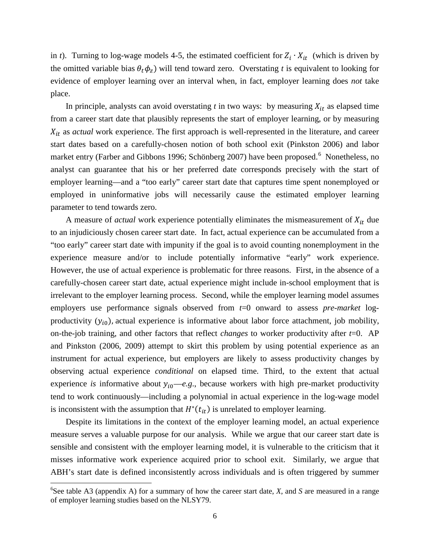in *t*). Turning to log-wage models 4-5, the estimated coefficient for  $Z_i \cdot X_{it}$  (which is driven by the omitted variable bias  $\theta_t \phi_z$ ) will tend toward zero. Overstating *t* is equivalent to looking for evidence of employer learning over an interval when, in fact, employer learning does *not* take place.

In principle, analysts can avoid overstating  $t$  in two ways: by measuring  $X_{it}$  as elapsed time from a career start date that plausibly represents the start of employer learning, or by measuring as *actual* work experience. The first approach is well-represented in the literature, and career start dates based on a carefully-chosen notion of both school exit (Pinkston 2006) and labor market entry (Farber and Gibbons 199[6](#page-7-1); Schönberg 2007) have been proposed.<sup>6</sup> Nonetheless, no analyst can guarantee that his or her preferred date corresponds precisely with the start of employer learning—and a "too early" career start date that captures time spent nonemployed or employed in uninformative jobs will necessarily cause the estimated employer learning parameter to tend towards zero.

A measure of *actual* work experience potentially eliminates the mismeasurement of  $X_{it}$  due to an injudiciously chosen career start date. In fact, actual experience can be accumulated from a "too early" career start date with impunity if the goal is to avoid counting nonemployment in the experience measure and/or to include potentially informative "early" work experience. However, the use of actual experience is problematic for three reasons. First, in the absence of a carefully-chosen career start date, actual experience might include in-school employment that is irrelevant to the employer learning process. Second, while the employer learning model assumes employers use performance signals observed from  $t=0$  onward to assess *pre-market* logproductivity  $(y_{i0})$ , actual experience is informative about labor force attachment, job mobility, on-the-job training, and other factors that reflect *changes* to worker productivity after *t*=0. AP and Pinkston (2006, 2009) attempt to skirt this problem by using potential experience as an instrument for actual experience, but employers are likely to assess productivity changes by observing actual experience *conditional* on elapsed time. Third, to the extent that actual experience *is* informative about  $y_{i0}$ —e.g., because workers with high pre-market productivity tend to work continuously—including a polynomial in actual experience in the log-wage model is inconsistent with the assumption that  $H^*(t_{it})$  is unrelated to employer learning.

Despite its limitations in the context of the employer learning model, an actual experience measure serves a valuable purpose for our analysis. While we argue that our career start date is sensible and consistent with the employer learning model, it is vulnerable to the criticism that it misses informative work experience acquired prior to school exit. Similarly, we argue that ABH's start date is defined inconsistently across individuals and is often triggered by summer

<span id="page-8-0"></span>l

<sup>6</sup> See table A3 (appendix A) for a summary of how the career start date, *X*, and *S* are measured in a range of employer learning studies based on the NLSY79.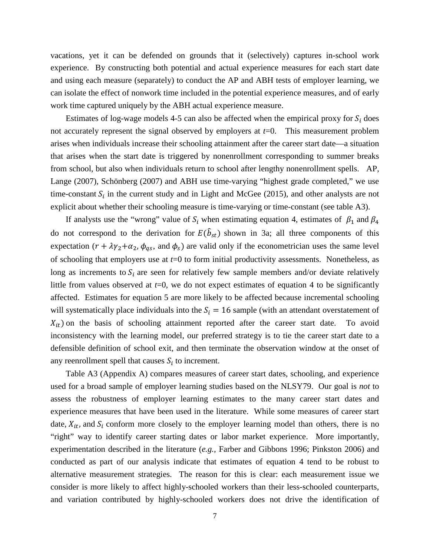vacations, yet it can be defended on grounds that it (selectively) captures in-school work experience. By constructing both potential and actual experience measures for each start date and using each measure (separately) to conduct the AP and ABH tests of employer learning, we can isolate the effect of nonwork time included in the potential experience measures, and of early work time captured uniquely by the ABH actual experience measure.

Estimates of log-wage models 4-5 can also be affected when the empirical proxy for  $S_i$  does not accurately represent the signal observed by employers at *t*=0. This measurement problem arises when individuals increase their schooling attainment after the career start date—a situation that arises when the start date is triggered by nonenrollment corresponding to summer breaks from school, but also when individuals return to school after lengthy nonenrollment spells. AP, Lange (2007), Schönberg (2007) and ABH use time-varying "highest grade completed," we use time-constant  $S_i$  in the current study and in Light and McGee (2015), and other analysts are not explicit about whether their schooling measure is time-varying or time-constant (see table A3).

If analysts use the "wrong" value of  $S_i$  when estimating equation 4, estimates of  $\beta_1$  and  $\beta_4$ do not correspond to the derivation for  $E(b_{st})$  shown in 3a; all three components of this expectation  $(r + \lambda \gamma_2 + \alpha_2, \phi_{qs})$ , and  $\phi_s$ ) are valid only if the econometrician uses the same level of schooling that employers use at *t*=0 to form initial productivity assessments. Nonetheless, as long as increments to  $S_i$  are seen for relatively few sample members and/or deviate relatively little from values observed at *t*=0, we do not expect estimates of equation 4 to be significantly affected. Estimates for equation 5 are more likely to be affected because incremental schooling will systematically place individuals into the  $S_i = 16$  sample (with an attendant overstatement of  $X_{it}$ ) on the basis of schooling attainment reported after the career start date. To avoid inconsistency with the learning model, our preferred strategy is to tie the career start date to a defensible definition of school exit, and then terminate the observation window at the onset of any reenrollment spell that causes  $S_i$  to increment.

Table A3 (Appendix A) compares measures of career start dates, schooling, and experience used for a broad sample of employer learning studies based on the NLSY79. Our goal is *not* to assess the robustness of employer learning estimates to the many career start dates and experience measures that have been used in the literature. While some measures of career start date,  $X_{it}$ , and  $S_i$  conform more closely to the employer learning model than others, there is no "right" way to identify career starting dates or labor market experience. More importantly, experimentation described in the literature (*e.g.,* Farber and Gibbons 1996; Pinkston 2006) and conducted as part of our analysis indicate that estimates of equation 4 tend to be robust to alternative measurement strategies. The reason for this is clear: each measurement issue we consider is more likely to affect highly-schooled workers than their less-schooled counterparts, and variation contributed by highly-schooled workers does not drive the identification of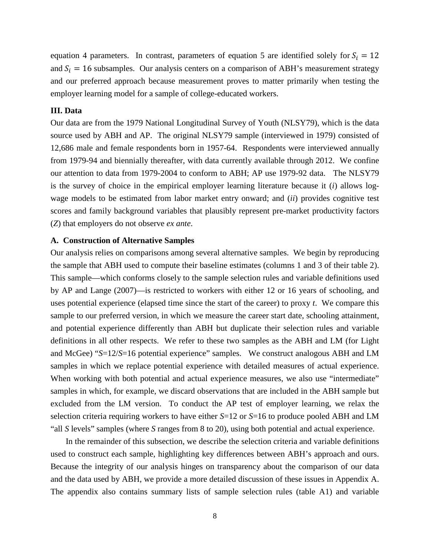equation 4 parameters. In contrast, parameters of equation 5 are identified solely for  $S_i = 12$ and  $S_i = 16$  subsamples. Our analysis centers on a comparison of ABH's measurement strategy and our preferred approach because measurement proves to matter primarily when testing the employer learning model for a sample of college-educated workers.

#### **III. Data**

Our data are from the 1979 National Longitudinal Survey of Youth (NLSY79), which is the data source used by ABH and AP. The original NLSY79 sample (interviewed in 1979) consisted of 12,686 male and female respondents born in 1957-64. Respondents were interviewed annually from 1979-94 and biennially thereafter, with data currently available through 2012. We confine our attention to data from 1979-2004 to conform to ABH; AP use 1979-92 data. The NLSY79 is the survey of choice in the empirical employer learning literature because it (*i*) allows logwage models to be estimated from labor market entry onward; and (*ii*) provides cognitive test scores and family background variables that plausibly represent pre-market productivity factors (*Z*) that employers do not observe *ex ante*.

#### **A. Construction of Alternative Samples**

Our analysis relies on comparisons among several alternative samples. We begin by reproducing the sample that ABH used to compute their baseline estimates (columns 1 and 3 of their table 2). This sample—which conforms closely to the sample selection rules and variable definitions used by AP and Lange (2007)—is restricted to workers with either 12 or 16 years of schooling, and uses potential experience (elapsed time since the start of the career) to proxy *t*. We compare this sample to our preferred version, in which we measure the career start date, schooling attainment, and potential experience differently than ABH but duplicate their selection rules and variable definitions in all other respects. We refer to these two samples as the ABH and LM (for Light and McGee) "*S*=12/*S*=16 potential experience" samples. We construct analogous ABH and LM samples in which we replace potential experience with detailed measures of actual experience. When working with both potential and actual experience measures, we also use "intermediate" samples in which, for example, we discard observations that are included in the ABH sample but excluded from the LM version. To conduct the AP test of employer learning, we relax the selection criteria requiring workers to have either *S*=12 or *S*=16 to produce pooled ABH and LM "all *S* levels" samples (where *S* ranges from 8 to 20), using both potential and actual experience.

In the remainder of this subsection, we describe the selection criteria and variable definitions used to construct each sample, highlighting key differences between ABH's approach and ours. Because the integrity of our analysis hinges on transparency about the comparison of our data and the data used by ABH, we provide a more detailed discussion of these issues in Appendix A. The appendix also contains summary lists of sample selection rules (table A1) and variable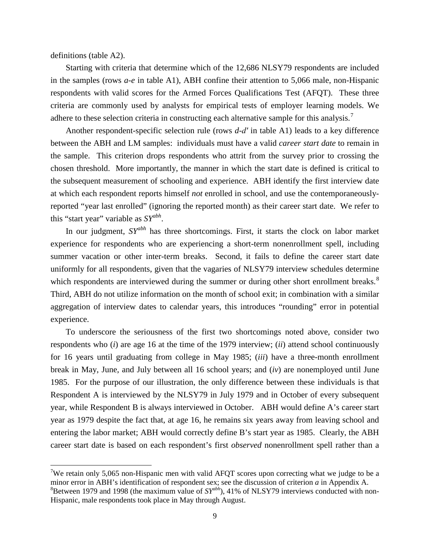definitions (table A2).

<span id="page-11-1"></span> $\overline{\phantom{a}}$ 

Starting with criteria that determine which of the 12,686 NLSY79 respondents are included in the samples (rows *a-e* in table A1), ABH confine their attention to 5,066 male, non-Hispanic respondents with valid scores for the Armed Forces Qualifications Test (AFQT). These three criteria are commonly used by analysts for empirical tests of employer learning models. We adhere to these selection criteria in constructing each alternative sample for this analysis.<sup>[7](#page-8-0)</sup>

Another respondent-specific selection rule (rows *d-d′* in table A1) leads to a key difference between the ABH and LM samples: individuals must have a valid *career start date* to remain in the sample. This criterion drops respondents who attrit from the survey prior to crossing the chosen threshold. More importantly, the manner in which the start date is defined is critical to the subsequent measurement of schooling and experience. ABH identify the first interview date at which each respondent reports himself *not* enrolled in school, and use the contemporaneouslyreported "year last enrolled" (ignoring the reported month) as their career start date. We refer to this "start year" variable as *SYabh*.

In our judgment, *SYabh* has three shortcomings. First, it starts the clock on labor market experience for respondents who are experiencing a short-term nonenrollment spell, including summer vacation or other inter-term breaks. Second, it fails to define the career start date uniformly for all respondents, given that the vagaries of NLSY79 interview schedules determine which respondents are interviewed during the summer or during other short enrollment breaks.<sup>[8](#page-11-0)</sup> Third, ABH do not utilize information on the month of school exit; in combination with a similar aggregation of interview dates to calendar years, this introduces "rounding" error in potential experience.

To underscore the seriousness of the first two shortcomings noted above, consider two respondents who (*i*) are age 16 at the time of the 1979 interview; (*ii*) attend school continuously for 16 years until graduating from college in May 1985; (*iii*) have a three-month enrollment break in May, June, and July between all 16 school years; and (*iv*) are nonemployed until June 1985. For the purpose of our illustration, the only difference between these individuals is that Respondent A is interviewed by the NLSY79 in July 1979 and in October of every subsequent year, while Respondent B is always interviewed in October. ABH would define A's career start year as 1979 despite the fact that, at age 16, he remains six years away from leaving school and entering the labor market; ABH would correctly define B's start year as 1985. Clearly, the ABH career start date is based on each respondent's first *observed* nonenrollment spell rather than a

<span id="page-11-0"></span><sup>&</sup>lt;sup>7</sup>We retain only 5,065 non-Hispanic men with valid AFQT scores upon correcting what we judge to be a minor error in ABH's identification of respondent sex; see the discussion of criterion *a* in Appendix A. 8 Between 1979 and 1998 (the maximum value of *SYabh*), 41% of NLSY79 interviews conducted with non-Hispanic, male respondents took place in May through August.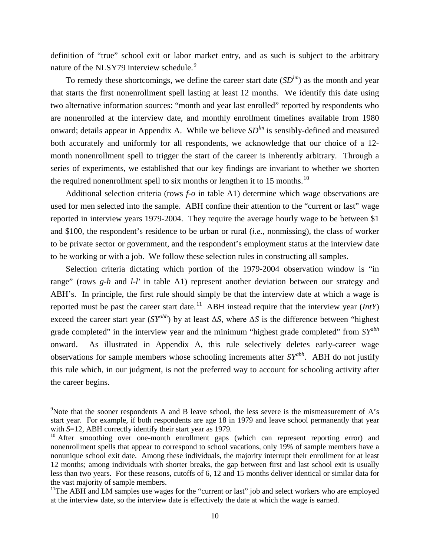definition of "true" school exit or labor market entry, and as such is subject to the arbitrary nature of the NLSY7[9](#page-11-1) interview schedule.<sup>9</sup>

To remedy these shortcomings, we define the career start date  $(SD<sup>lm</sup>)$  as the month and year that starts the first nonenrollment spell lasting at least 12 months. We identify this date using two alternative information sources: "month and year last enrolled" reported by respondents who are nonenrolled at the interview date, and monthly enrollment timelines available from 1980 onward; details appear in Appendix A. While we believe  $SD^{lm}$  is sensibly-defined and measured both accurately and uniformly for all respondents, we acknowledge that our choice of a 12 month nonenrollment spell to trigger the start of the career is inherently arbitrary. Through a series of experiments, we established that our key findings are invariant to whether we shorten the required nonenrollment spell to six months or lengthen it to 15 months.<sup>[10](#page-12-0)</sup>

Additional selection criteria (rows *f-o* in table A1) determine which wage observations are used for men selected into the sample. ABH confine their attention to the "current or last" wage reported in interview years 1979-2004. They require the average hourly wage to be between \$1 and \$100, the respondent's residence to be urban or rural (*i.e.,* nonmissing), the class of worker to be private sector or government, and the respondent's employment status at the interview date to be working or with a job. We follow these selection rules in constructing all samples.

Selection criteria dictating which portion of the 1979-2004 observation window is "in range" (rows *g-h* and *l-l'* in table A1) represent another deviation between our strategy and ABH's. In principle, the first rule should simply be that the interview date at which a wage is reported must be past the career start date.<sup>11</sup> ABH instead require that the interview year ( $IntY$ ) exceed the career start year  $(SY^{abh})$  by at least  $\Delta S$ , where  $\Delta S$  is the difference between "highest" grade completed" in the interview year and the minimum "highest grade completed" from *SYabh* onward. As illustrated in Appendix A, this rule selectively deletes early-career wage observations for sample members whose schooling increments after *SYabh*. ABH do not justify this rule which, in our judgment, is not the preferred way to account for schooling activity after the career begins.

 $\overline{\phantom{a}}$ 

<sup>&</sup>lt;sup>9</sup>Note that the sooner respondents A and B leave school, the less severe is the mismeasurement of A's start year. For example, if both respondents are age 18 in 1979 and leave school permanently that year with *S*=12, ABH correctly identify their start year as 1979.

<span id="page-12-0"></span> $10$  After smoothing over one-month enrollment gaps (which can represent reporting error) and nonenrollment spells that appear to correspond to school vacations, only 19% of sample members have a nonunique school exit date. Among these individuals, the majority interrupt their enrollment for at least 12 months; among individuals with shorter breaks, the gap between first and last school exit is usually less than two years. For these reasons, cutoffs of 6, 12 and 15 months deliver identical or similar data for the vast majority of sample members.<br><sup>11</sup>The ABH and LM samples use wages for the "current or last" job and select workers who are employed

<span id="page-12-1"></span>at the interview date, so the interview date is effectively the date at which the wage is earned.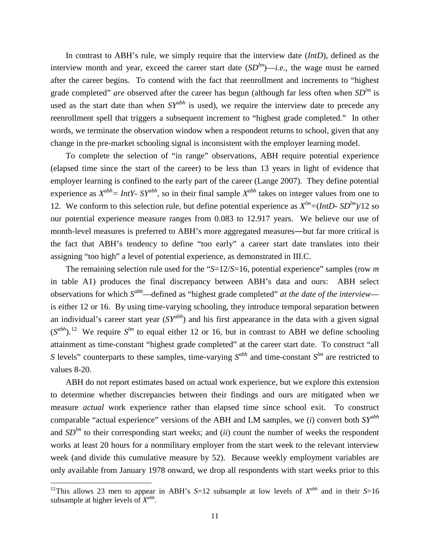In contrast to ABH's rule, we simply require that the interview date (*IntD*), defined as the interview month and year, exceed the career start date  $(SD^{lm})$ —*i.e.*, the wage must be earned after the career begins. To contend with the fact that reenrollment and increments to "highest grade completed" *are* observed after the career has begun (although far less often when  $SD^{lm}$  is used as the start date than when *SY*<sup>abh</sup> is used), we require the interview date to precede any reenrollment spell that triggers a subsequent increment to "highest grade completed." In other words, we terminate the observation window when a respondent returns to school, given that any change in the pre-market schooling signal is inconsistent with the employer learning model.

To complete the selection of "in range" observations, ABH require potential experience (elapsed time since the start of the career) to be less than 13 years in light of evidence that employer learning is confined to the early part of the career (Lange 2007). They define potential experience as  $X^{abh} = IntY - SY^{abh}$ , so in their final sample  $X^{abh}$  takes on integer values from one to 12. We conform to this selection rule, but define potential experience as  $X^{lm} = (IntD - SD^{lm})/12$  so our potential experience measure ranges from 0.083 to 12.917 years. We believe our use of month-level measures is preferred to ABH's more aggregated measures―but far more critical is the fact that ABH's tendency to define "too early" a career start date translates into their assigning "too high" a level of potential experience, as demonstrated in III.C.

The remaining selection rule used for the "*S*=12/*S*=16, potential experience" samples (row *m* in table A1) produces the final discrepancy between ABH's data and ours: ABH select observations for which *Sabh*—defined as "highest grade completed" *at the date of the interview* is either 12 or 16. By using time-varying schooling, they introduce temporal separation between an individual's career start year (*SYabh*) and his first appearance in the data with a given signal  $(S^{abh})$ .<sup>12</sup> We require  $S^{lm}$  to equal either [12](#page-12-1) or 16, but in contrast to ABH we define schooling attainment as time-constant "highest grade completed" at the career start date. To construct "all *S* levels" counterparts to these samples, time-varying  $S^{abh}$  and time-constant  $S^{lm}$  are restricted to values 8-20.

ABH do not report estimates based on actual work experience, but we explore this extension to determine whether discrepancies between their findings and ours are mitigated when we measure *actual* work experience rather than elapsed time since school exit. To construct comparable "actual experience" versions of the ABH and LM samples, we (*i*) convert both *SYabh* and  $SD^{lm}$  to their corresponding start weeks; and (*ii*) count the number of weeks the respondent works at least 20 hours for a nonmilitary employer from the start week to the relevant interview week (and divide this cumulative measure by 52). Because weekly employment variables are only available from January 1978 onward, we drop all respondents with start weeks prior to this

<span id="page-13-0"></span>l

<sup>&</sup>lt;sup>12</sup>This allows 23 men to appear in ABH's  $S=12$  subsample at low levels of  $X^{abh}$  and in their  $S=16$ subsample at higher levels of *Xabh*.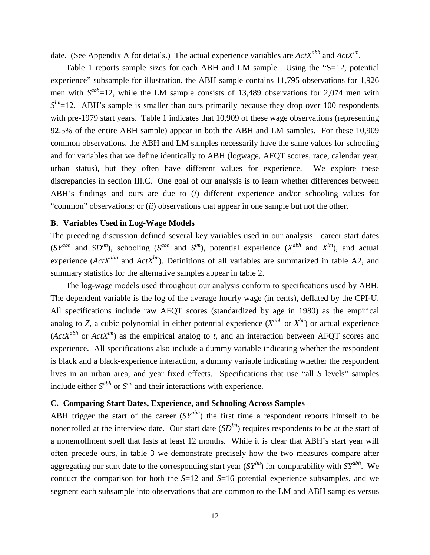date. (See Appendix A for details.) The actual experience variables are *ActXabh* and *ActXlm*.

Table 1 reports sample sizes for each ABH and LM sample. Using the "S=12, potential experience" subsample for illustration, the ABH sample contains 11,795 observations for 1,926 men with  $S^{abh}=12$ , while the LM sample consists of 13,489 observations for 2,074 men with  $S^{lm}$ =12. ABH's sample is smaller than ours primarily because they drop over 100 respondents with pre-1979 start years. Table 1 indicates that 10,909 of these wage observations (representing 92.5% of the entire ABH sample) appear in both the ABH and LM samples. For these 10,909 common observations, the ABH and LM samples necessarily have the same values for schooling and for variables that we define identically to ABH (logwage, AFQT scores, race, calendar year, urban status), but they often have different values for experience. We explore these discrepancies in section III.C. One goal of our analysis is to learn whether differences between ABH's findings and ours are due to (*i*) different experience and/or schooling values for "common" observations; or (*ii*) observations that appear in one sample but not the other.

#### **B. Variables Used in Log-Wage Models**

The preceding discussion defined several key variables used in our analysis: career start dates  $(SY^{abh}$  and  $SD^{lm}$ ), schooling  $(S^{abh}$  and  $S^{lm}$ ), potential experience  $(X^{abh}$  and  $X^{lm}$ ), and actual experience ( $ActX^{abh}$  and  $ActX^{lm}$ ). Definitions of all variables are summarized in table A2, and summary statistics for the alternative samples appear in table 2.

The log-wage models used throughout our analysis conform to specifications used by ABH. The dependent variable is the log of the average hourly wage (in cents), deflated by the CPI-U. All specifications include raw AFQT scores (standardized by age in 1980) as the empirical analog to *Z*, a cubic polynomial in either potential experience  $(X^{abh}$  or  $X^{lm})$  or actual experience  $(\text{ActX}^{abh}$  or  $\text{ActX}^{lm})$  as the empirical analog to *t*, and an interaction between AFQT scores and experience. All specifications also include a dummy variable indicating whether the respondent is black and a black-experience interaction, a dummy variable indicating whether the respondent lives in an urban area, and year fixed effects. Specifications that use "all *S* levels" samples include either  $S^{abh}$  or  $S^{lm}$  and their interactions with experience.

#### **C. Comparing Start Dates, Experience, and Schooling Across Samples**

ABH trigger the start of the career (*SYabh*) the first time a respondent reports himself to be nonenrolled at the interview date. Our start date  $(SD^{lm})$  requires respondents to be at the start of a nonenrollment spell that lasts at least 12 months. While it is clear that ABH's start year will often precede ours, in table 3 we demonstrate precisely how the two measures compare after aggregating our start date to the corresponding start year  $(SY^{lm})$  for comparability with  $SY^{abh}$ . We conduct the comparison for both the *S*=12 and *S*=16 potential experience subsamples, and we segment each subsample into observations that are common to the LM and ABH samples versus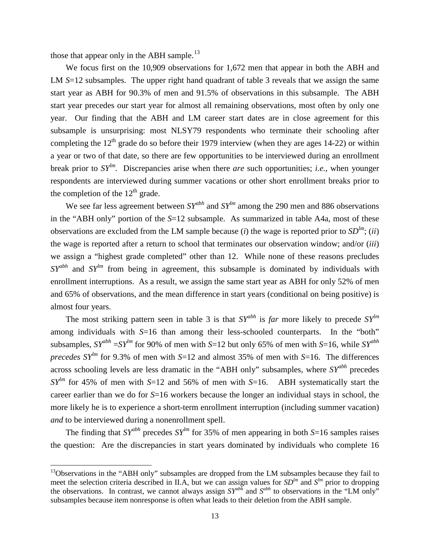those that appear only in the ABH sample.<sup>[13](#page-13-0)</sup>

 $\overline{\phantom{a}}$ 

We focus first on the 10,909 observations for 1,672 men that appear in both the ABH and LM *S*=12 subsamples. The upper right hand quadrant of table 3 reveals that we assign the same start year as ABH for 90.3% of men and 91.5% of observations in this subsample. The ABH start year precedes our start year for almost all remaining observations, most often by only one year. Our finding that the ABH and LM career start dates are in close agreement for this subsample is unsurprising: most NLSY79 respondents who terminate their schooling after completing the  $12<sup>th</sup>$  grade do so before their 1979 interview (when they are ages 14-22) or within a year or two of that date, so there are few opportunities to be interviewed during an enrollment break prior to *SYlm.* Discrepancies arise when there *are* such opportunities; *i.e.,* when younger respondents are interviewed during summer vacations or other short enrollment breaks prior to the completion of the  $12<sup>th</sup>$  grade.

We see far less agreement between  $SY^{abh}$  and  $SY^{lm}$  among the 290 men and 886 observations in the "ABH only" portion of the *S*=12 subsample. As summarized in table A4a, most of these observations are excluded from the LM sample because (*i*) the wage is reported prior to  $SD^{lm}$ ; (*ii*) the wage is reported after a return to school that terminates our observation window; and/or (*iii*) we assign a "highest grade completed" other than 12. While none of these reasons precludes *SYabh* and *SYlm* from being in agreement, this subsample is dominated by individuals with enrollment interruptions. As a result, we assign the same start year as ABH for only 52% of men and 65% of observations, and the mean difference in start years (conditional on being positive) is almost four years.

The most striking pattern seen in table 3 is that  $SY^{abh}$  is *far* more likely to precede  $SY^{lm}$ among individuals with *S*=16 than among their less-schooled counterparts. In the "both" subsamples,  $SY^{abh} = SY^{lm}$  for 90% of men with *S*=12 but only 65% of men with *S*=16, while *SY*<sup>*abh*</sup> *precedes*  $SY^{lm}$  for 9.3% of men with *S*=12 and almost 35% of men with *S*=16. The differences across schooling levels are less dramatic in the "ABH only" subsamples, where *SYabh* precedes  $SY^{\ell m}$  for 45% of men with *S*=12 and 56% of men with *S*=16. ABH systematically start the career earlier than we do for *S*=16 workers because the longer an individual stays in school, the more likely he is to experience a short-term enrollment interruption (including summer vacation) *and* to be interviewed during a nonenrollment spell.

The finding that *SY*<sup>*abh*</sup> precedes *SY*<sup>*lm*</sup> for 35% of men appearing in both *S*=16 samples raises the question: Are the discrepancies in start years dominated by individuals who complete 16

<span id="page-15-0"></span> $13$ Observations in the "ABH only" subsamples are dropped from the LM subsamples because they fail to meet the selection criteria described in II.A, but we can assign values for  $SD^{lm}$  and  $S^{lm}$  prior to dropping the observations. In contrast, we cannot always assign *SYabh* and *Sabh* to observations in the "LM only" subsamples because item nonresponse is often what leads to their deletion from the ABH sample.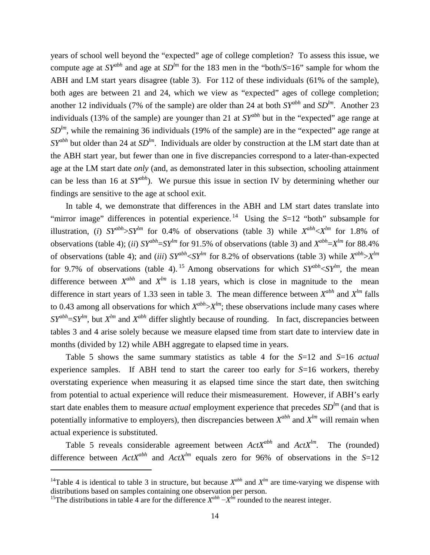years of school well beyond the "expected" age of college completion? To assess this issue, we compute age at  $SY^{abh}$  and age at  $SD^{lm}$  for the 183 men in the "both/ $S=16$ " sample for whom the ABH and LM start years disagree (table 3). For 112 of these individuals (61% of the sample), both ages are between 21 and 24, which we view as "expected" ages of college completion; another 12 individuals (7% of the sample) are older than 24 at both  $SY^{abh}$  and  $SD^{lm}$ . Another 23 individuals (13% of the sample) are younger than 21 at *SYabh* but in the "expected" age range at  $SD^{lm}$ , while the remaining 36 individuals (19% of the sample) are in the "expected" age range at *SYabh* but older than 24 at *SDlm*. Individuals are older by construction at the LM start date than at the ABH start year, but fewer than one in five discrepancies correspond to a later-than-expected age at the LM start date *only* (and, as demonstrated later in this subsection, schooling attainment can be less than 16 at *SYabh*). We pursue this issue in section IV by determining whether our findings are sensitive to the age at school exit.

In table 4, we demonstrate that differences in the ABH and LM start dates translate into "mirror image" differences in potential experience.<sup>[14](#page-15-0)</sup> Using the *S*=12 "both" subsample for illustration, (*i*)  $SY^{abh} > SY^{hm}$  for 0.4% of observations (table 3) while  $X^{abh} < X^{lm}$  for 1.8% of observations (table 4); (*ii*)  $SY^{abh} = SY^{lm}$  for 91.5% of observations (table 3) and  $X^{abh} = X^{lm}$  for 88.4% of observations (table 4); and (*iii*)  $SY^{abh} < SY^{lm}$  for 8.2% of observations (table 3) while  $X^{abh} > X^{lm}$ for 9.7% of observations (table 4). <sup>[15](#page-16-0)</sup> Among observations for which  $SY^{abh} < SY^{lm}$ , the mean difference between  $X^{abh}$  and  $X^{lm}$  is 1.18 years, which is close in magnitude to the mean difference in start years of 1.33 seen in table 3. The mean difference between  $X^{abh}$  and  $X^{lm}$  falls to 0.43 among all observations for which  $X^{abh} > X^{hm}$ ; these observations include many cases where  $SY^{abh} = SY^{lm}$ , but  $X^{lm}$  and  $X^{abh}$  differ slightly because of rounding. In fact, discrepancies between tables 3 and 4 arise solely because we measure elapsed time from start date to interview date in months (divided by 12) while ABH aggregate to elapsed time in years.

Table 5 shows the same summary statistics as table 4 for the *S*=12 and *S*=16 *actual*  experience samples. If ABH tend to start the career too early for *S*=16 workers, thereby overstating experience when measuring it as elapsed time since the start date, then switching from potential to actual experience will reduce their mismeasurement. However, if ABH's early start date enables them to measure *actual* employment experience that precedes *SDlm* (and that is potentially informative to employers), then discrepancies between  $X^{abh}$  and  $X^{lm}$  will remain when actual experience is substituted.

<span id="page-16-1"></span>Table 5 reveals considerable agreement between  $ActX^{abh}$  and  $ActX^{lm}$ . The (rounded) difference between  $ActX^{abh}$  and  $ActX^{lm}$  equals zero for 96% of observations in the *S*=12

 $\overline{\phantom{a}}$ 

<sup>&</sup>lt;sup>14</sup>Table 4 is identical to table 3 in structure, but because  $X^{abh}$  and  $X^{lm}$  are time-varying we dispense with distributions based on samples containing one observation per person.

<span id="page-16-0"></span><sup>&</sup>lt;sup>15</sup>The distributions in table 4 are for the difference  $X^{abh} - X^{lm}$  rounded to the nearest integer.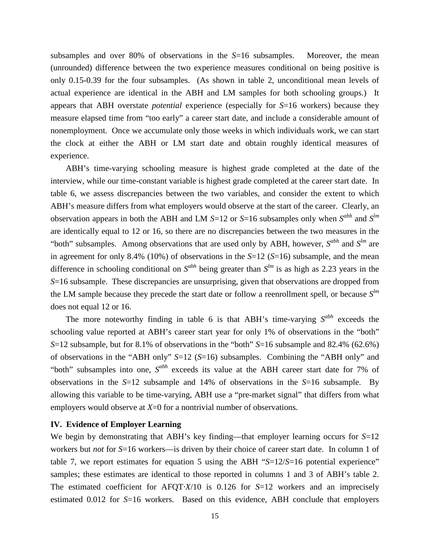subsamples and over 80% of observations in the *S*=16 subsamples. Moreover, the mean (unrounded) difference between the two experience measures conditional on being positive is only 0.15-0.39 for the four subsamples. (As shown in table 2, unconditional mean levels of actual experience are identical in the ABH and LM samples for both schooling groups.) It appears that ABH overstate *potential* experience (especially for *S*=16 workers) because they measure elapsed time from "too early" a career start date, and include a considerable amount of nonemployment. Once we accumulate only those weeks in which individuals work, we can start the clock at either the ABH or LM start date and obtain roughly identical measures of experience.

ABH's time-varying schooling measure is highest grade completed at the date of the interview, while our time-constant variable is highest grade completed at the career start date. In table 6, we assess discrepancies between the two variables, and consider the extent to which ABH's measure differs from what employers would observe at the start of the career. Clearly, an observation appears in both the ABH and LM  $S=12$  or  $S=16$  subsamples only when  $S^{abh}$  and  $S^{lm}$ are identically equal to 12 or 16, so there are no discrepancies between the two measures in the "both" subsamples. Among observations that are used only by ABH, however, *Sabh* and *Slm* are in agreement for only 8.4% (10%) of observations in the *S*=12 (*S*=16) subsample, and the mean difference in schooling conditional on  $S^{abh}$  being greater than  $S^{lm}$  is as high as 2.23 years in the *S*=16 subsample. These discrepancies are unsurprising, given that observations are dropped from the LM sample because they precede the start date or follow a reenrollment spell, or because *Slm* does not equal 12 or 16.

The more noteworthy finding in table 6 is that ABH's time-varying  $S^{abh}$  exceeds the schooling value reported at ABH's career start year for only 1% of observations in the "both" *S*=12 subsample, but for 8.1% of observations in the "both" *S*=16 subsample and 82.4% (62.6%) of observations in the "ABH only" *S*=12 (*S*=16) subsamples. Combining the "ABH only" and "both" subsamples into one,  $S^{abh}$  exceeds its value at the ABH career start date for 7% of observations in the *S*=12 subsample and 14% of observations in the *S*=16 subsample. By allowing this variable to be time-varying, ABH use a "pre-market signal" that differs from what employers would observe at *X*=0 for a nontrivial number of observations.

#### **IV. Evidence of Employer Learning**

We begin by demonstrating that ABH's key finding—that employer learning occurs for *S*=12 workers but *not* for *S*=16 workers—is driven by their choice of career start date. In column 1 of table 7, we report estimates for equation 5 using the ABH "*S*=12/*S*=16 potential experience" samples; these estimates are identical to those reported in columns 1 and 3 of ABH's table 2. The estimated coefficient for AFQT*·X*/10 is 0.126 for *S*=12 workers and an imprecisely estimated 0.012 for *S*=16 workers. Based on this evidence, ABH conclude that employers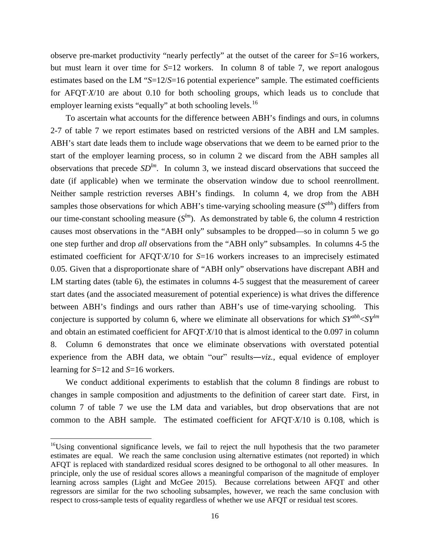observe pre-market productivity "nearly perfectly" at the outset of the career for *S*=16 workers, but must learn it over time for *S*=12 workers. In column 8 of table 7, we report analogous estimates based on the LM "*S*=12/*S*=16 potential experience" sample. The estimated coefficients for AFQT*·X*/10 are about 0.10 for both schooling groups, which leads us to conclude that employer learning exists "equally" at both schooling levels.<sup>[16](#page-16-1)</sup>

To ascertain what accounts for the difference between ABH's findings and ours, in columns 2-7 of table 7 we report estimates based on restricted versions of the ABH and LM samples. ABH's start date leads them to include wage observations that we deem to be earned prior to the start of the employer learning process, so in column 2 we discard from the ABH samples all observations that precede  $SD^{lm}$ . In column 3, we instead discard observations that succeed the date (if applicable) when we terminate the observation window due to school reenrollment. Neither sample restriction reverses ABH's findings. In column 4, we drop from the ABH samples those observations for which ABH's time-varying schooling measure  $(S^{abh})$  differs from our time-constant schooling measure  $(S^{lm})$ . As demonstrated by table 6, the column 4 restriction causes most observations in the "ABH only" subsamples to be dropped—so in column 5 we go one step further and drop *all* observations from the "ABH only" subsamples. In columns 4-5 the estimated coefficient for AFQT*·X*/10 for *S*=16 workers increases to an imprecisely estimated 0.05. Given that a disproportionate share of "ABH only" observations have discrepant ABH and LM starting dates (table 6), the estimates in columns 4-5 suggest that the measurement of career start dates (and the associated measurement of potential experience) is what drives the difference between ABH's findings and ours rather than ABH's use of time-varying schooling. This conjecture is supported by column 6, where we eliminate all observations for which *SYabh*<*SYlm* and obtain an estimated coefficient for AFQT*·X*/10 that is almost identical to the 0.097 in column 8. Column 6 demonstrates that once we eliminate observations with overstated potential experience from the ABH data, we obtain "our" results―*viz.,* equal evidence of employer learning for *S*=12 and *S*=16 workers.

We conduct additional experiments to establish that the column 8 findings are robust to changes in sample composition and adjustments to the definition of career start date. First, in column 7 of table 7 we use the LM data and variables, but drop observations that are not common to the ABH sample. The estimated coefficient for AFQT*·X*/10 is 0.108, which is

 $\overline{\phantom{a}}$ 

<span id="page-18-0"></span><sup>&</sup>lt;sup>16</sup>Using conventional significance levels, we fail to reject the null hypothesis that the two parameter estimates are equal. We reach the same conclusion using alternative estimates (not reported) in which AFQT is replaced with standardized residual scores designed to be orthogonal to all other measures. In principle, only the use of residual scores allows a meaningful comparison of the magnitude of employer learning across samples (Light and McGee 2015). Because correlations between AFQT and other regressors are similar for the two schooling subsamples, however, we reach the same conclusion with respect to cross-sample tests of equality regardless of whether we use AFQT or residual test scores.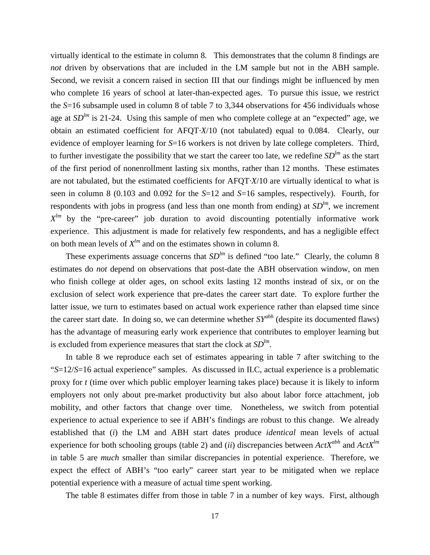virtually identical to the estimate in column 8. This demonstrates that the column 8 findings are *not* driven by observations that are included in the LM sample but not in the ABH sample. Second, we revisit a concern raised in section III that our findings might be influenced by men who complete 16 years of school at later-than-expected ages. To pursue this issue, we restrict the *S*=16 subsample used in column 8 of table 7 to 3,344 observations for 456 individuals whose age at  $SD^{lm}$  is 21-24. Using this sample of men who complete college at an "expected" age, we obtain an estimated coefficient for AFQT*·X*/10 (not tabulated) equal to 0.084. Clearly, our evidence of employer learning for *S*=16 workers is not driven by late college completers. Third, to further investigate the possibility that we start the career too late, we redefine  $SD^{lm}$  as the start of the first period of nonenrollment lasting six months, rather than 12 months. These estimates are not tabulated, but the estimated coefficients for AFQT*·X*/10 are virtually identical to what is seen in column 8 (0.103 and 0.092 for the *S*=12 and *S*=16 samples, respectively). Fourth, for respondents with jobs in progress (and less than one month from ending) at  $SD<sup>lm</sup>$ , we increment  $X^{lm}$  by the "pre-career" job duration to avoid discounting potentially informative work experience. This adjustment is made for relatively few respondents, and has a negligible effect on both mean levels of  $X^{lm}$  and on the estimates shown in column 8.

These experiments assuage concerns that  $SD^{lm}$  is defined "too late." Clearly, the column 8 estimates do *not* depend on observations that post-date the ABH observation window, on men who finish college at older ages, on school exits lasting 12 months instead of six, or on the exclusion of select work experience that pre-dates the career start date. To explore further the latter issue, we turn to estimates based on actual work experience rather than elapsed time since the career start date. In doing so, we can determine whether *SYabh* (despite its documented flaws) has the advantage of measuring early work experience that contributes to employer learning but is excluded from experience measures that start the clock at *SDlm*.

In table 8 we reproduce each set of estimates appearing in table 7 after switching to the "*S*=12/*S*=16 actual experience" samples. As discussed in II.C, actual experience is a problematic proxy for *t* (time over which public employer learning takes place) because it is likely to inform employers not only about pre-market productivity but also about labor force attachment, job mobility, and other factors that change over time. Nonetheless, we switch from potential experience to actual experience to see if ABH's findings are robust to this change. We already established that (*i*) the LM and ABH start dates produce *identical* mean levels of actual experience for both schooling groups (table 2) and (*ii*) discrepancies between *ActXabh* and *ActXlm* in table 5 are *much* smaller than similar discrepancies in potential experience. Therefore, we expect the effect of ABH's "too early" career start year to be mitigated when we replace potential experience with a measure of actual time spent working.

The table 8 estimates differ from those in table 7 in a number of key ways. First, although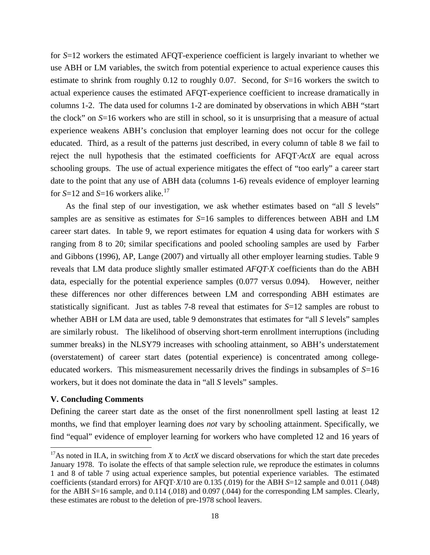for *S*=12 workers the estimated AFQT-experience coefficient is largely invariant to whether we use ABH or LM variables, the switch from potential experience to actual experience causes this estimate to shrink from roughly 0.12 to roughly 0.07. Second, for *S*=16 workers the switch to actual experience causes the estimated AFQT-experience coefficient to increase dramatically in columns 1-2. The data used for columns 1-2 are dominated by observations in which ABH "start the clock" on *S*=16 workers who are still in school, so it is unsurprising that a measure of actual experience weakens ABH's conclusion that employer learning does not occur for the college educated. Third, as a result of the patterns just described, in every column of table 8 we fail to reject the null hypothesis that the estimated coefficients for AFQT*·ActX* are equal across schooling groups. The use of actual experience mitigates the effect of "too early" a career start date to the point that any use of ABH data (columns 1-6) reveals evidence of employer learning for  $S=12$  and  $S=16$  workers alike.<sup>[17](#page-18-0)</sup>

As the final step of our investigation, we ask whether estimates based on "all *S* levels" samples are as sensitive as estimates for *S*=16 samples to differences between ABH and LM career start dates. In table 9, we report estimates for equation 4 using data for workers with *S* ranging from 8 to 20; similar specifications and pooled schooling samples are used by Farber and Gibbons (1996), AP, Lange (2007) and virtually all other employer learning studies. Table 9 reveals that LM data produce slightly smaller estimated *AFQT·X* coefficients than do the ABH data, especially for the potential experience samples (0.077 versus 0.094). However, neither these differences nor other differences between LM and corresponding ABH estimates are statistically significant. Just as tables 7-8 reveal that estimates for *S*=12 samples are robust to whether ABH or LM data are used, table 9 demonstrates that estimates for "all *S* levels" samples are similarly robust. The likelihood of observing short-term enrollment interruptions (including summer breaks) in the NLSY79 increases with schooling attainment, so ABH's understatement (overstatement) of career start dates (potential experience) is concentrated among collegeeducated workers. This mismeasurement necessarily drives the findings in subsamples of *S*=16 workers, but it does not dominate the data in "all *S* levels" samples.

#### **V. Concluding Comments**

 $\overline{\phantom{a}}$ 

Defining the career start date as the onset of the first nonenrollment spell lasting at least 12 months, we find that employer learning does *not* vary by schooling attainment. Specifically, we find "equal" evidence of employer learning for workers who have completed 12 and 16 years of

<span id="page-20-0"></span><sup>&</sup>lt;sup>17</sup>As noted in II.A, in switching from *X* to *ActX* we discard observations for which the start date precedes January 1978. To isolate the effects of that sample selection rule, we reproduce the estimates in columns 1 and 8 of table 7 using actual experience samples, but potential experience variables. The estimated coefficients (standard errors) for AFQT·*X*/10 are 0.135 (.019) for the ABH *S*=12 sample and 0.011 (.048) for the ABH *S*=16 sample, and 0.114 (.018) and 0.097 (.044) for the corresponding LM samples. Clearly, these estimates are robust to the deletion of pre-1978 school leavers.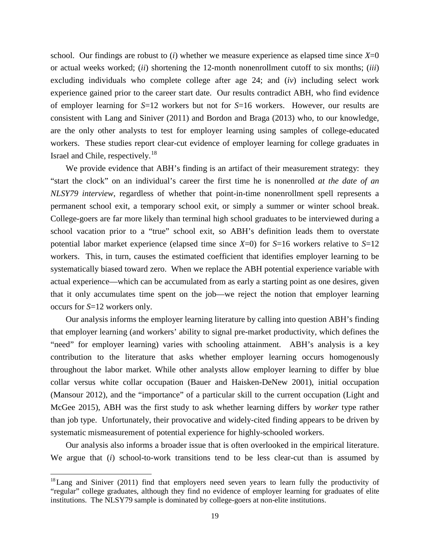school. Our findings are robust to  $(i)$  whether we measure experience as elapsed time since  $X=0$ or actual weeks worked; (*ii*) shortening the 12-month nonenrollment cutoff to six months; (*iii*) excluding individuals who complete college after age 24; and (*iv*) including select work experience gained prior to the career start date. Our results contradict ABH, who find evidence of employer learning for *S*=12 workers but not for *S*=16 workers. However, our results are consistent with Lang and Siniver (2011) and Bordon and Braga (2013) who, to our knowledge, are the only other analysts to test for employer learning using samples of college-educated workers. These studies report clear-cut evidence of employer learning for college graduates in Israel and Chile, respectively.<sup>18</sup>

We provide evidence that ABH's finding is an artifact of their measurement strategy: they "start the clock" on an individual's career the first time he is nonenrolled *at the date of an NLSY79 interview*, regardless of whether that point-in-time nonenrollment spell represents a permanent school exit, a temporary school exit, or simply a summer or winter school break. College-goers are far more likely than terminal high school graduates to be interviewed during a school vacation prior to a "true" school exit, so ABH's definition leads them to overstate potential labor market experience (elapsed time since *X*=0) for *S*=16 workers relative to *S*=12 workers. This, in turn, causes the estimated coefficient that identifies employer learning to be systematically biased toward zero. When we replace the ABH potential experience variable with actual experience—which can be accumulated from as early a starting point as one desires, given that it only accumulates time spent on the job—we reject the notion that employer learning occurs for *S*=12 workers only.

Our analysis informs the employer learning literature by calling into question ABH's finding that employer learning (and workers' ability to signal pre-market productivity, which defines the "need" for employer learning) varies with schooling attainment. ABH's analysis is a key contribution to the literature that asks whether employer learning occurs homogenously throughout the labor market. While other analysts allow employer learning to differ by blue collar versus white collar occupation (Bauer and Haisken-DeNew 2001), initial occupation (Mansour 2012), and the "importance" of a particular skill to the current occupation (Light and McGee 2015), ABH was the first study to ask whether learning differs by *worker* type rather than job type. Unfortunately, their provocative and widely-cited finding appears to be driven by systematic mismeasurement of potential experience for highly-schooled workers.

Our analysis also informs a broader issue that is often overlooked in the empirical literature. We argue that (*i*) school-to-work transitions tend to be less clear-cut than is assumed by

 $\overline{\phantom{a}}$ 

<span id="page-21-0"></span><sup>&</sup>lt;sup>18</sup> Lang and Siniver (2011) find that employers need seven years to learn fully the productivity of "regular" college graduates, although they find no evidence of employer learning for graduates of elite institutions. The NLSY79 sample is dominated by college-goers at non-elite institutions.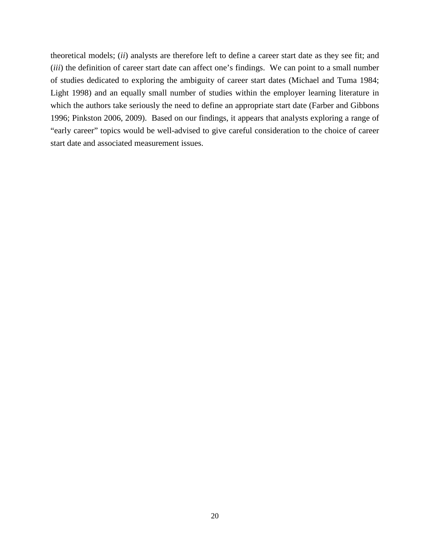theoretical models; (*ii*) analysts are therefore left to define a career start date as they see fit; and (*iii*) the definition of career start date can affect one's findings. We can point to a small number of studies dedicated to exploring the ambiguity of career start dates (Michael and Tuma 1984; Light 1998) and an equally small number of studies within the employer learning literature in which the authors take seriously the need to define an appropriate start date (Farber and Gibbons 1996; Pinkston 2006, 2009). Based on our findings, it appears that analysts exploring a range of "early career" topics would be well-advised to give careful consideration to the choice of career start date and associated measurement issues.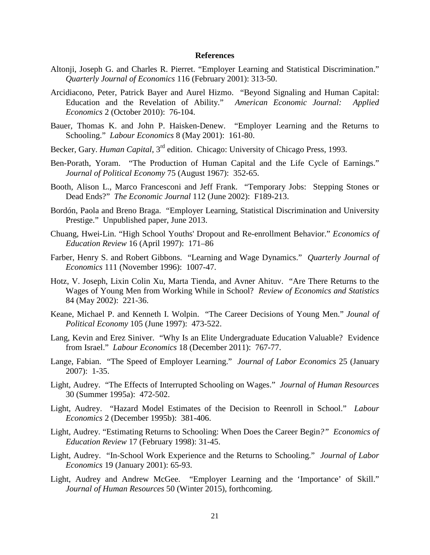#### **References**

- Altonji, Joseph G. and Charles R. Pierret. "Employer Learning and Statistical Discrimination." *Quarterly Journal of Economics* 116 (February 2001): 313-50.
- Arcidiacono, Peter, Patrick Bayer and Aurel Hizmo. "Beyond Signaling and Human Capital: Education and the Revelation of Ability." *American Economic Journal: Applied Economics* 2 (October 2010): 76-104.
- Bauer, Thomas K. and John P. Haisken-Denew. "Employer Learning and the Returns to Schooling." *Labour Economics* 8 (May 2001): 161-80.
- Becker, Gary. *Human Capital*, 3rd edition. Chicago: University of Chicago Press, 1993.
- Ben-Porath, Yoram. "The Production of Human Capital and the Life Cycle of Earnings." *Journal of Political Economy* 75 (August 1967): 352-65.
- Booth, Alison L., Marco Francesconi and Jeff Frank. "Temporary Jobs: Stepping Stones or Dead Ends?" *The Economic Journal* 112 (June 2002): F189-213.
- Bordón, Paola and Breno Braga. "Employer Learning, Statistical Discrimination and University Prestige." Unpublished paper, June 2013.
- Chuang, Hwei-Lin. "High School Youths' Dropout and Re-enrollment Behavior." *Economics of Education Review* 16 (April 1997): 171–86
- Farber, Henry S. and Robert Gibbons. "Learning and Wage Dynamics." *Quarterly Journal of Economics* 111 (November 1996): 1007-47.
- Hotz, V. Joseph, Lixin Colin Xu, Marta Tienda, and Avner Ahituv. "Are There Returns to the Wages of Young Men from Working While in School? *Review of Economics and Statistics* 84 (May 2002): 221-36.
- Keane, Michael P. and Kenneth I. Wolpin. "The Career Decisions of Young Men." *Jounal of Political Economy* 105 (June 1997): 473-522.
- Lang, Kevin and Erez Siniver. "Why Is an Elite Undergraduate Education Valuable? Evidence from Israel." *Labour Economics* 18 (December 2011): 767-77.
- Lange, Fabian. "The Speed of Employer Learning." *Journal of Labor Economics* 25 (January 2007): 1-35.
- Light, Audrey. "The Effects of Interrupted Schooling on Wages." *Journal of Human Resources*  30 (Summer 1995a): 472-502.
- Light, Audrey. "Hazard Model Estimates of the Decision to Reenroll in School." *Labour Economics* 2 (December 1995b): 381-406.
- Light, Audrey. "Estimating Returns to Schooling: When Does the Career Begin*?" Economics of Education Review* 17 (February 1998): 31-45.
- Light, Audrey. "In-School Work Experience and the Returns to Schooling." *Journal of Labor Economics* 19 (January 2001): 65-93.
- Light, Audrey and Andrew McGee. "Employer Learning and the 'Importance' of Skill." *Journal of Human Resources* 50 (Winter 2015), forthcoming.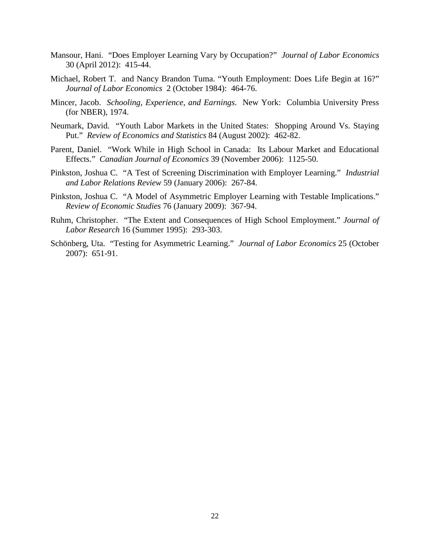- Mansour, Hani. "Does Employer Learning Vary by Occupation?" *Journal of Labor Economics* 30 (April 2012): 415-44.
- Michael, Robert T. and Nancy Brandon Tuma. "Youth Employment: Does Life Begin at 16?" *Journal of Labor Economics* 2 (October 1984): 464-76.
- Mincer, Jacob. *Schooling, Experience, and Earnings*. New York: Columbia University Press (for NBER), 1974.
- Neumark, David. "Youth Labor Markets in the United States: Shopping Around Vs. Staying Put." *Review of Economics and Statistics* 84 (August 2002): 462-82.
- Parent, Daniel. "Work While in High School in Canada: Its Labour Market and Educational Effects." *Canadian Journal of Economics* 39 (November 2006): 1125-50.
- Pinkston, Joshua C. "A Test of Screening Discrimination with Employer Learning." *Industrial and Labor Relations Review* 59 (January 2006): 267-84.
- Pinkston, Joshua C. "A Model of Asymmetric Employer Learning with Testable Implications." *Review of Economic Studies* 76 (January 2009): 367-94.
- Ruhm, Christopher. "The Extent and Consequences of High School Employment." *Journal of Labor Research* 16 (Summer 1995): 293-303.
- Schönberg, Uta. "Testing for Asymmetric Learning." *Journal of Labor Economics* 25 (October 2007): 651-91.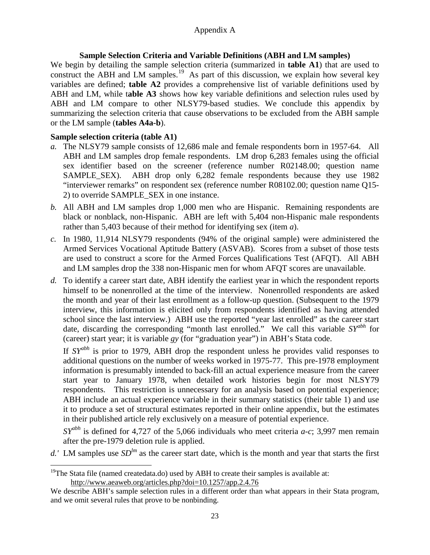#### **Sample Selection Criteria and Variable Definitions (ABH and LM samples)**

We begin by detailing the sample selection criteria (summarized in **table A1**) that are used to construct the ABH and LM samples.<sup>[19](#page-21-0)</sup> As part of this discussion, we explain how several key variables are defined; **table A2** provides a comprehensive list of variable definitions used by ABH and LM, while t**able A3** shows how key variable definitions and selection rules used by ABH and LM compare to other NLSY79-based studies. We conclude this appendix by summarizing the selection criteria that cause observations to be excluded from the ABH sample or the LM sample (**tables A4a-b**).

#### **Sample selection criteria (table A1)**

 $\overline{\phantom{a}}$ 

- *a.* The NLSY79 sample consists of 12,686 male and female respondents born in 1957-64. All ABH and LM samples drop female respondents. LM drop 6,283 females using the official sex identifier based on the screener (reference number R02148.00; question name SAMPLE\_SEX). ABH drop only 6,282 female respondents because they use 1982 "interviewer remarks" on respondent sex (reference number R08102.00; question name Q15- 2) to override SAMPLE\_SEX in one instance.
- *b.* All ABH and LM samples drop 1,000 men who are Hispanic. Remaining respondents are black or nonblack, non-Hispanic. ABH are left with 5,404 non-Hispanic male respondents rather than 5,403 because of their method for identifying sex (item *a*).
- *c.* In 1980, 11,914 NLSY79 respondents (94% of the original sample) were administered the Armed Services Vocational Aptitude Battery (ASVAB). Scores from a subset of those tests are used to construct a score for the Armed Forces Qualifications Test (AFQT). All ABH and LM samples drop the 338 non-Hispanic men for whom AFQT scores are unavailable.
- *d.* To identify a career start date, ABH identify the earliest year in which the respondent reports himself to be nonenrolled at the time of the interview. Nonenrolled respondents are asked the month and year of their last enrollment as a follow-up question. (Subsequent to the 1979 interview, this information is elicited only from respondents identified as having attended school since the last interview.) ABH use the reported "year last enrolled" as the career start date, discarding the corresponding "month last enrolled." We call this variable *SYabh* for (career) start year; it is variable *gy* (for "graduation year") in ABH's Stata code.

If *SYabh* is prior to 1979, ABH drop the respondent unless he provides valid responses to additional questions on the number of weeks worked in 1975-77. This pre-1978 employment information is presumably intended to back-fill an actual experience measure from the career start year to January 1978, when detailed work histories begin for most NLSY79 respondents. This restriction is unnecessary for an analysis based on potential experience; ABH include an actual experience variable in their summary statistics (their table 1) and use it to produce a set of structural estimates reported in their online appendix, but the estimates in their published article rely exclusively on a measure of potential experience.

*SYabh* is defined for 4,727 of the 5,066 individuals who meet criteria *a-c*; 3,997 men remain after the pre-1979 deletion rule is applied.

d.' LM samples use  $SD^{lm}$  as the career start date, which is the month and year that starts the first

<sup>&</sup>lt;sup>19</sup>The Stata file (named createdata.do) used by ABH to create their samples is available at: http://www.aeaweb.org/articles.php?doi=10.1257/app.2.4.76

We describe ABH's sample selection rules in a different order than what appears in their Stata program, and we omit several rules that prove to be nonbinding.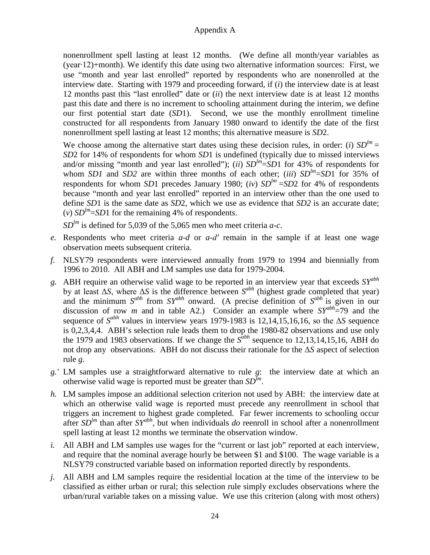nonenrollment spell lasting at least 12 months. (We define all month/year variables as (year∙12)+month). We identify this date using two alternative information sources: First, we use "month and year last enrolled" reported by respondents who are nonenrolled at the interview date. Starting with 1979 and proceeding forward, if (*i*) the interview date is at least 12 months past this "last enrolled" date or (*ii*) the next interview date is at least 12 months past this date and there is no increment to schooling attainment during the interim, we define our first potential start date (*SD*1). Second, we use the monthly enrollment timeline constructed for all respondents from January 1980 onward to identify the date of the first nonenrollment spell lasting at least 12 months; this alternative measure is *SD*2.

We choose among the alternative start dates using these decision rules, in order: (*i*)  $SD^{lm}$  = *SD*2 for 14% of respondents for whom *SD*1 is undefined (typically due to missed interviews and/or missing "month and year last enrolled"); (*ii*)  $SD^{lm}$ = $SD1$  for 43% of respondents for whom *SD1* and *SD2* are within three months of each other; (*iii*)  $SD^{lm} = SD1$  for 35% of respondents for whom *SD*1 precedes January 1980; (*iv*)  $SD^{lm} = SD2$  for 4% of respondents because "month and year last enrolled" reported in an interview other than the one used to define *SD*1 is the same date as *SD*2, which we use as evidence that *SD2* is an accurate date; (*v*)  $SD^{lm}$ =*SD*1 for the remaining 4% of respondents.

*SDlm* is defined for 5,039 of the 5,065 men who meet criteria *a-c*.

- *e.* Respondents who meet criteria *a-d* or *a-d′* remain in the sample if at least one wage observation meets subsequent criteria.
- *f.* NLSY79 respondents were interviewed annually from 1979 to 1994 and biennially from 1996 to 2010. All ABH and LM samples use data for 1979-2004.
- *g.* ABH require an otherwise valid wage to be reported in an interview year that exceeds *SYabh* by at least Δ*S*, where Δ*S* is the difference between *Sabh* (highest grade completed that year) and the minimum  $S^{abh}$  from  $SY^{abh}$  onward. (A precise definition of  $S^{abh}$  is given in our discussion of row *m* and in table A2.) Consider an example where  $SY^{abh}=79$  and the sequence of *Sabh* values in interview years 1979-1983 is 12,14,15,16,16, so the Δ*S* sequence is 0,2,3,4,4. ABH's selection rule leads them to drop the 1980-82 observations and use only the 1979 and 1983 observations. If we change the  $S<sup>abh</sup>$  sequence to 12,13,14,15,16, ABH do not drop any observations. ABH do not discuss their rationale for the Δ*S* aspect of selection rule *g*.
- *g.'* LM samples use a straightforward alternative to rule *g*: the interview date at which an otherwise valid wage is reported must be greater than *SDlm*.
- *h.* LM samples impose an additional selection criterion not used by ABH: the interview date at which an otherwise valid wage is reported must precede any reenrollment in school that triggers an increment to highest grade completed. Far fewer increments to schooling occur after  $SD^{lm}$  than after  $SY^{abh}$ , but when individuals *do* reenroll in school after a nonenrollment spell lasting at least 12 months we terminate the observation window.
- *i.* All ABH and LM samples use wages for the "current or last job" reported at each interview, and require that the nominal average hourly be between \$1 and \$100. The wage variable is a NLSY79 constructed variable based on information reported directly by respondents.
- *j.* All ABH and LM samples require the residential location at the time of the interview to be classified as either urban or rural; this selection rule simply excludes observations where the urban/rural variable takes on a missing value. We use this criterion (along with most others)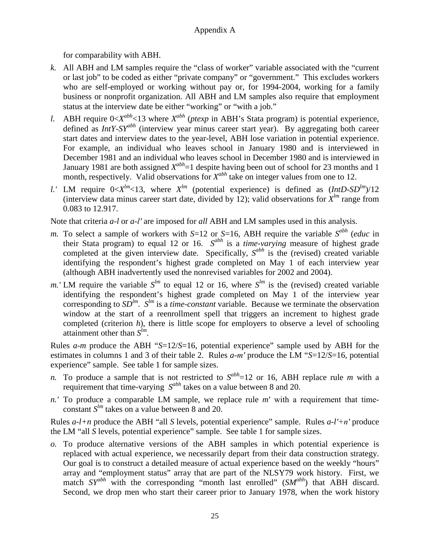for comparability with ABH.

- *k.* All ABH and LM samples require the "class of worker" variable associated with the "current or last job" to be coded as either "private company" or "government." This excludes workers who are self-employed or working without pay or, for 1994-2004, working for a family business or nonprofit organization. All ABH and LM samples also require that employment status at the interview date be either "working" or "with a job."
- *l.* ABH require  $0 < X^{abh}$ <13 where  $X^{abh}$  (*ptexp* in ABH's Stata program) is potential experience, defined as *IntY*-*SYabh* (interview year minus career start year). By aggregating both career start dates and interview dates to the year-level, ABH lose variation in potential experience. For example, an individual who leaves school in January 1980 and is interviewed in December 1981 and an individual who leaves school in December 1980 and is interviewed in January 1981 are both assigned  $X^{abh}=1$  despite having been out of school for 23 months and 1 month, respectively. Valid observations for *X*<sup>abh</sup> take on integer values from one to 12.
- *l.'* LM require  $0 < X^{lm} < 13$ , where  $X^{lm}$  (potential experience) is defined as  $(IntD-SD^{lm})/12$ (interview data minus career start date, divided by 12); valid observations for  $X^{lm}$  range from 0.083 to 12.917.

Note that criteria *a-l* or *a-l′* are imposed for *all* ABH and LM samples used in this analysis.

- *m*. To select a sample of workers with *S*=12 or *S*=16, ABH require the variable *S*<sup>abh</sup> (*educ* in their Stata program) to equal 12 or 16. *Sabh* is a *time-varying* measure of highest grade completed at the given interview date. Specifically,  $S^{abh}$  is the (revised) created variable identifying the respondent's highest grade completed on May 1 of each interview year (although ABH inadvertently used the nonrevised variables for 2002 and 2004).
- *m.'* LM require the variable  $S^{lm}$  to equal 12 or 16, where  $S^{lm}$  is the (revised) created variable identifying the respondent's highest grade completed on May 1 of the interview year corresponding to  $SD^{lm}$ .  $S^{lm}$  is a *time-constant* variable. Because we terminate the observation window at the start of a reenrollment spell that triggers an increment to highest grade completed (criterion *h*), there is little scope for employers to observe a level of schooling attainment other than *Slm*.

Rules *a-m* produce the ABH "*S*=12/*S*=16, potential experience" sample used by ABH for the estimates in columns 1 and 3 of their table 2. Rules *a-m′* produce the LM "*S*=12/*S*=16, potential experience" sample. See table 1 for sample sizes.

- *n.* To produce a sample that is not restricted to *Sabh*=12 or 16, ABH replace rule *m* with a requirement that time-varying *Sabh* takes on a value between 8 and 20.
- *n.'* To produce a comparable LM sample, we replace rule *m*′ with a requirement that timeconstant *Slm* takes on a value between 8 and 20.

Rules *a-l+n* produce the ABH "all *S* levels, potential experience" sample. Rules *a-l′+n′* produce the LM "all *S* levels, potential experience" sample. See table 1 for sample sizes.

*o.* To produce alternative versions of the ABH samples in which potential experience is replaced with actual experience, we necessarily depart from their data construction strategy. Our goal is to construct a detailed measure of actual experience based on the weekly "hours" array and "employment status" array that are part of the NLSY79 work history. First, we match *SYabh* with the corresponding "month last enrolled" (*SMabh*) that ABH discard. Second, we drop men who start their career prior to January 1978, when the work history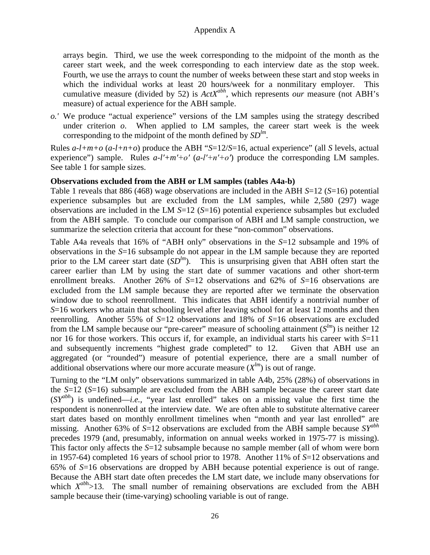arrays begin. Third, we use the week corresponding to the midpoint of the month as the career start week, and the week corresponding to each interview date as the stop week. Fourth, we use the arrays to count the number of weeks between these start and stop weeks in which the individual works at least 20 hours/week for a nonmilitary employer. This cumulative measure (divided by 52) is *ActXabh*, which represents *our* measure (not ABH's measure) of actual experience for the ABH sample.

*o.'* We produce "actual experience" versions of the LM samples using the strategy described under criterion  $o$ . When applied to LM samples, the career start week is the week corresponding to the midpoint of the month defined by  $SD^{lm}$ .

Rules *a-l+m+o* (*a-l+n+o*) produce the ABH "*S*=12/*S*=16, actual experience" (all *S* levels, actual experience") sample. Rules  $a-l'+m'+o'$  ( $a-l'+n'+o'$ ) produce the corresponding LM samples. See table 1 for sample sizes.

#### **Observations excluded from the ABH or LM samples (tables A4a-b)**

Table 1 reveals that 886 (468) wage observations are included in the ABH *S*=12 (*S*=16) potential experience subsamples but are excluded from the LM samples, while 2,580 (297) wage observations are included in the LM *S*=12 (*S*=16) potential experience subsamples but excluded from the ABH sample. To conclude our comparison of ABH and LM sample construction, we summarize the selection criteria that account for these "non-common" observations.

Table A4a reveals that 16% of "ABH only" observations in the *S*=12 subsample and 19% of observations in the *S*=16 subsample do not appear in the LM sample because they are reported prior to the LM career start date (*SD<sup>lm</sup>*). This is unsurprising given that ABH often start the career earlier than LM by using the start date of summer vacations and other short-term enrollment breaks. Another 26% of *S*=12 observations and 62% of *S*=16 observations are excluded from the LM sample because they are reported after we terminate the observation window due to school reenrollment. This indicates that ABH identify a nontrivial number of *S*=16 workers who attain that schooling level after leaving school for at least 12 months and then reenrolling. Another 55% of *S*=12 observations and 18% of *S*=16 observations are excluded from the LM sample because our "pre-career" measure of schooling attainment (*Slm*) is neither 12 nor 16 for those workers. This occurs if, for example, an individual starts his career with *S*=11 and subsequently increments "highest grade completed" to 12. Given that ABH use an aggregated (or "rounded") measure of potential experience, there are a small number of additional observations where our more accurate measure  $(X^{lm})$  is out of range.

Turning to the "LM only" observations summarized in table A4b, 25% (28%) of observations in the *S*=12 (*S*=16) subsample are excluded from the ABH sample because the career start date (*SYabh*) is undefined—*i.e.,* "year last enrolled" takes on a missing value the first time the respondent is nonenrolled at the interview date. We are often able to substitute alternative career start dates based on monthly enrollment timelines when "month and year last enrolled" are missing. Another 63% of *S*=12 observations are excluded from the ABH sample because *SYabh* precedes 1979 (and, presumably, information on annual weeks worked in 1975-77 is missing). This factor only affects the *S*=12 subsample because no sample member (all of whom were born in 1957-64) completed 16 years of school prior to 1978. Another 11% of *S*=12 observations and 65% of *S*=16 observations are dropped by ABH because potential experience is out of range. Because the ABH start date often precedes the LM start date, we include many observations for which  $X^{abh}$  >13. The small number of remaining observations are excluded from the ABH sample because their (time-varying) schooling variable is out of range.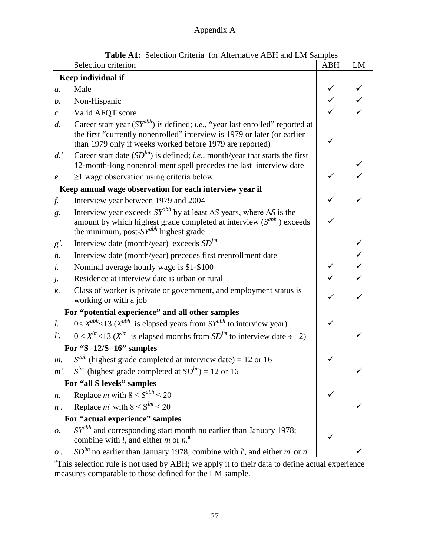|                   | <b>Table AT:</b> Selection Criteria for Alternative ABH and LM Samples<br>Selection criterion                                                                                                                                     | <b>ABH</b>   | LM |
|-------------------|-----------------------------------------------------------------------------------------------------------------------------------------------------------------------------------------------------------------------------------|--------------|----|
|                   |                                                                                                                                                                                                                                   |              |    |
|                   | Keep individual if                                                                                                                                                                                                                |              |    |
| $a$ .             | Male                                                                                                                                                                                                                              |              |    |
| b.                | Non-Hispanic                                                                                                                                                                                                                      |              |    |
| $\mathcal{C}$ .   | Valid AFQT score                                                                                                                                                                                                                  |              |    |
| d.                | Career start year $(SY^{abh})$ is defined; <i>i.e.</i> , "year last enrolled" reported at<br>the first "currently nonenrolled" interview is 1979 or later (or earlier<br>than 1979 only if weeks worked before 1979 are reported) | $\checkmark$ |    |
| d.'               | Career start date $(SD^{lm})$ is defined; <i>i.e.</i> , month/year that starts the first<br>12-month-long nonenrollment spell precedes the last interview date                                                                    |              |    |
| e.                | $\geq$ 1 wage observation using criteria below                                                                                                                                                                                    | $\checkmark$ |    |
|                   | Keep annual wage observation for each interview year if                                                                                                                                                                           |              |    |
| f.                | Interview year between 1979 and 2004                                                                                                                                                                                              | $\checkmark$ |    |
| g <sub>1</sub>    | Interview year exceeds $SY^{abh}$ by at least $\Delta S$ years, where $\Delta S$ is the<br>amount by which highest grade completed at interview $(S^{abh})$ exceeds<br>the minimum, post- $SY^{abh}$ highest grade                |              |    |
| g'.               | Interview date (month/year) exceeds $SDlm$                                                                                                                                                                                        |              |    |
| h.                | Interview date (month/year) precedes first reenrollment date                                                                                                                                                                      |              |    |
| i.                | Nominal average hourly wage is \$1-\$100                                                                                                                                                                                          |              |    |
| j.                | Residence at interview date is urban or rural                                                                                                                                                                                     |              |    |
| $k$ .             | Class of worker is private or government, and employment status is<br>working or with a job                                                                                                                                       |              |    |
|                   | For "potential experience" and all other samples                                                                                                                                                                                  |              |    |
| l.                | $0 < X^{abh} < 13$ ( $X^{abh}$ is elapsed years from $SY^{abh}$ to interview year)                                                                                                                                                | $\checkmark$ |    |
| l'.               | $0 < X^{lm}$ <13 ( $X^{lm}$ is elapsed months from $SD^{lm}$ to interview date ÷ 12)                                                                                                                                              |              |    |
|                   | For "S= $12/S=16$ " samples                                                                                                                                                                                                       |              |    |
| $m$ .             | $S^{abh}$ (highest grade completed at interview date) = 12 or 16                                                                                                                                                                  |              |    |
| $m'$ .            | $S^{lm}$ (highest grade completed at $SD^{lm}$ ) = 12 or 16                                                                                                                                                                       |              |    |
|                   | For "all S levels" samples                                                                                                                                                                                                        |              |    |
| $n$ .             | Replace <i>m</i> with $8 \le S^{abh} \le 20$                                                                                                                                                                                      |              |    |
| n'.               | Replace <i>m</i> ' with $8 \le S^{lm} \le 20$                                                                                                                                                                                     |              |    |
|                   | For "actual experience" samples                                                                                                                                                                                                   |              |    |
| 0.                | $SY^{abh}$ and corresponding start month no earlier than January 1978;<br>combine with <i>l</i> , and either <i>m</i> or $n^a$ .                                                                                                  |              |    |
| $\mathfrak{o}'$ . | $SD^{lm}$ no earlier than January 1978; combine with <i>l'</i> , and either <i>m'</i> or <i>n'</i>                                                                                                                                |              |    |

| <b>Table A1:</b> Selection Criteria for Alternative ABH and LM Samples |
|------------------------------------------------------------------------|
|                                                                        |

<sup>a</sup>This selection rule is not used by ABH; we apply it to their data to define actual experience measures comparable to those defined for the LM sample.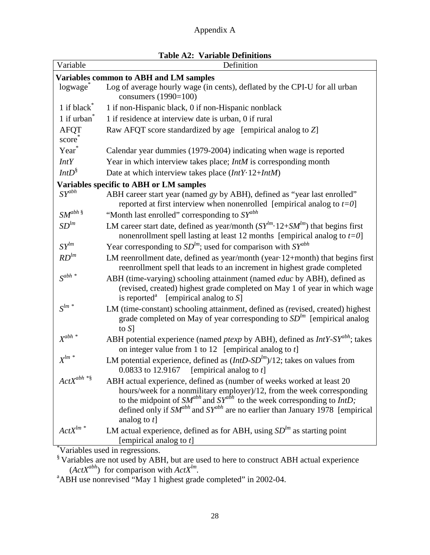| Variable                 | <b>Table A2: Variable Deminions</b><br>Definition                                                                                                                                                                                                                                                                                                 |
|--------------------------|---------------------------------------------------------------------------------------------------------------------------------------------------------------------------------------------------------------------------------------------------------------------------------------------------------------------------------------------------|
|                          | <b>Variables common to ABH and LM samples</b>                                                                                                                                                                                                                                                                                                     |
| logwage                  | Log of average hourly wage (in cents), deflated by the CPI-U for all urban                                                                                                                                                                                                                                                                        |
|                          | consumers (1990=100)                                                                                                                                                                                                                                                                                                                              |
| 1 if black <sup>*</sup>  | 1 if non-Hispanic black, 0 if non-Hispanic nonblack                                                                                                                                                                                                                                                                                               |
| 1 if urban <sup>®</sup>  | 1 if residence at interview date is urban, 0 if rural                                                                                                                                                                                                                                                                                             |
| <b>AFQT</b>              | Raw AFQT score standardized by age [empirical analog to Z]                                                                                                                                                                                                                                                                                        |
| score                    |                                                                                                                                                                                                                                                                                                                                                   |
| Year                     | Calendar year dummies (1979-2004) indicating when wage is reported                                                                                                                                                                                                                                                                                |
| IntY                     | Year in which interview takes place; IntM is corresponding month                                                                                                                                                                                                                                                                                  |
| $IntD^{\S}$              | Date at which interview takes place $(Int Y \cdot 12 + Int M)$                                                                                                                                                                                                                                                                                    |
|                          | Variables specific to ABH or LM samples                                                                                                                                                                                                                                                                                                           |
| $SY^{abh}$               | ABH career start year (named gy by ABH), defined as "year last enrolled"                                                                                                                                                                                                                                                                          |
|                          | reported at first interview when nonenrolled [empirical analog to $t=0$ ]                                                                                                                                                                                                                                                                         |
| $\textit{SM}^{abh\,\$}$  | "Month last enrolled" corresponding to $SY^{abh}$                                                                                                                                                                                                                                                                                                 |
| SD <sup>lm</sup>         | LM career start date, defined as year/month $(SY^{lm} \tcdot 12+SM^{lm})$ that begins first<br>nonenrollment spell lasting at least 12 months [empirical analog to $t=0$ ]                                                                                                                                                                        |
| $SY^{lm}$                | Year corresponding to $SD^{lm}$ ; used for comparison with $SY^{abh}$                                                                                                                                                                                                                                                                             |
| $RD^{lm}$                | LM reenrollment date, defined as year/month (year 12+month) that begins first<br>reenrollment spell that leads to an increment in highest grade completed                                                                                                                                                                                         |
| $S^{abh}$ *              | ABH (time-varying) schooling attainment (named <i>educ</i> by ABH), defined as<br>(revised, created) highest grade completed on May 1 of year in which wage<br>is reported <sup>a</sup> [empirical analog to $S$ ]                                                                                                                                |
| $\boldsymbol{S}^{lm\,*}$ | LM (time-constant) schooling attainment, defined as (revised, created) highest<br>grade completed on May of year corresponding to $SDlm$ [empirical analog<br>to $S$ ]                                                                                                                                                                            |
| $X^{abh * }$             | ABH potential experience (named <i>ptexp</i> by ABH), defined as <i>IntY-SY</i> <sup>abh</sup> ; takes<br>on integer value from 1 to 12 [empirical analog to $t$ ]                                                                                                                                                                                |
| $X^{lm*}$                | LM potential experience, defined as $(IntD-SD^{lm})/12$ ; takes on values from<br>0.0833 to 12.9167 [empirical analog to $t$ ]                                                                                                                                                                                                                    |
| $ActX^{abh\ ^*\$}$       | ABH actual experience, defined as (number of weeks worked at least 20<br>hours/week for a nonmilitary employer)/12, from the week corresponding<br>to the midpoint of $SM^{abh}$ and $SY^{abh}$ to the week corresponding to $IntD$ ;<br>defined only if $SM^{abh}$ and $SY^{abh}$ are no earlier than January 1978 [empirical<br>analog to $t$ ] |
| $\mathit{ActX}^{lm~*}$   | LM actual experience, defined as for ABH, using $SD^{lm}$ as starting point<br>[empirical analog to $t$ ]<br>Variables used in regression                                                                                                                                                                                                         |

 $\mathrm{``Variables}$  used in regressions.<br> $\mathrm{``Variables}$  are not used by ABH, but are used to here to construct ABH actual experience ( $ActX^{abh}$ ) for comparison with  $ActX^{lm}$ .<br><sup>a</sup> ABH use nonrevised "May 1 highest grade completed" in 2002-04.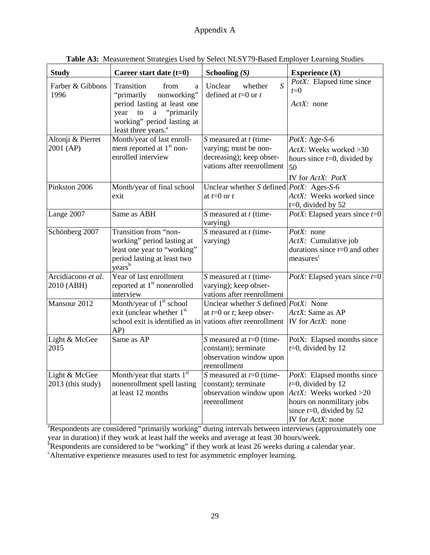| <b>Study</b>                       | Career start date $(t=0)$                                                                                                                                                                    | Schooling $(S)$                                                                                               | Experience $(X)$                                                                                                                                                |  |  |
|------------------------------------|----------------------------------------------------------------------------------------------------------------------------------------------------------------------------------------------|---------------------------------------------------------------------------------------------------------------|-----------------------------------------------------------------------------------------------------------------------------------------------------------------|--|--|
| Farber & Gibbons<br>1996           | Transition<br>from<br>a<br>"primarily<br>nonworking"<br>period lasting at least one<br>"primarily<br>year<br>to<br>$\rm{a}$<br>working" period lasting at<br>least three years. <sup>a</sup> | $\overline{S}$<br>Unclear<br>whether<br>defined at $t=0$ or $t$                                               | PotX: Elapsed time since<br>$t=0$<br>$ActX:$ none                                                                                                               |  |  |
| Altonji & Pierret<br>2001 (AP)     | Month/year of last enroll-<br>ment reported at 1 <sup>st</sup> non-<br>enrolled interview                                                                                                    | $S$ measured at $t$ (time-<br>varying; must be non-<br>decreasing); keep obser-<br>vations after reenrollment | PotX: Age-S-6<br>ActX: Weeks worked > 30<br>hours since $t=0$ , divided by<br>50<br>IV for ActX: PotX                                                           |  |  |
| Pinkston 2006                      | Month/year of final school<br>exit                                                                                                                                                           | Unclear whether S defined $PostX$ : Ages-S-6<br>at $t=0$ or $t$                                               | ActX: Weeks worked since<br>$t=0$ , divided by 52                                                                                                               |  |  |
| Lange 2007                         | Same as ABH                                                                                                                                                                                  | S measured at t (time-<br>varying)                                                                            | PotX: Elapsed years since $t=0$                                                                                                                                 |  |  |
| Schönberg 2007                     | Transition from "non-<br>working" period lasting at<br>least one year to "working"<br>period lasting at least two<br>$\chi$ ears <sup>b</sup>                                                | $\overline{S}$ measured at t (time-<br>varying)                                                               | PotX: none<br>ActX: Cumulative job<br>durations since $t=0$ and other<br>measures <sup>c</sup>                                                                  |  |  |
| Arcidiacono et al.<br>2010 (ABH)   | Year of last enrollment<br>reported at 1 <sup>st</sup> nonenrolled<br>interview                                                                                                              | $S$ measured at $t$ (time-<br>varying); keep obser-<br>vations after reenrollment                             | <i>PotX</i> : Elapsed years since $t=0$                                                                                                                         |  |  |
| Mansour 2012                       | Month/year of 1 <sup>st</sup> school<br>exit (unclear whether 1 <sup>st</sup><br>school exit is identified as in vations after reenrollment $ IV$ for $ActX$ : none<br>AP)                   | Unclear whether S defined $PostX$ : None<br>at $t=0$ or t; keep obser-                                        | ActX: Same as AP                                                                                                                                                |  |  |
| Light & McGee<br>2015              | Same as AP                                                                                                                                                                                   | S measured at $t=0$ (time-<br>constant); terminate<br>observation window upon<br>reenrollment                 | PotX: Elapsed months since<br>$t=0$ , divided by 12                                                                                                             |  |  |
| Light & McGee<br>2013 (this study) | Month/year that starts 1st<br>nonenrollment spell lasting<br>at least 12 months                                                                                                              | S measured at $t=0$ (time-<br>constant); terminate<br>observation window upon<br>reenrollment                 | PotX: Elapsed months since<br>$t=0$ , divided by 12<br>ActX: Weeks worked >20<br>hours on nonmilitary jobs<br>since $t=0$ , divided by 52<br>IV for $ActX$ none |  |  |

**Table A3:** Measurement Strategies Used by Select NLSY79-Based Employer Learning Studies

 $\frac{1}{1}$   $\frac{1}{1}$   $\frac{1}{1}$   $\frac{1}{1}$   $\frac{1}{1}$   $\frac{1}{1}$   $\frac{1}{1}$   $\frac{1}{1}$   $\frac{1}{1}$   $\frac{1}{1}$   $\frac{1}{1}$   $\frac{1}{1}$   $\frac{1}{1}$   $\frac{1}{1}$   $\frac{1}{1}$   $\frac{1}{1}$   $\frac{1}{1}$   $\frac{1}{1}$   $\frac{1}{1}$   $\frac{1}{1}$   $\frac{1}{1}$   $\frac{1}{1}$  year in duration) if they work at least half the weeks and average at least 30 hours/week.

 ${}^{b}$ Respondents are considered to be "working" if they work at least 26 weeks during a calendar year.

Alternative experience measures used to test for asymmetric employer learning.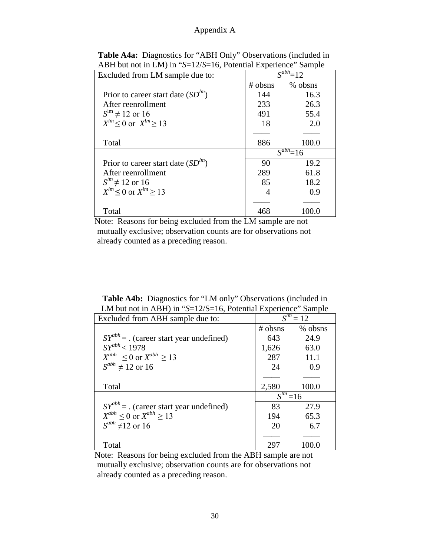| Excluded from LM sample due to:        |            | $\mathbf{C}^{ab}$<br>$=12$ |
|----------------------------------------|------------|----------------------------|
|                                        | $\#$ obsns | % obsns                    |
| Prior to career start date $SD^{lm}$ ) | 144        | 16.3                       |
| After reenrollment                     | 233        | 26.3                       |
| $S^{lm} \neq 12$ or 16                 | 491        | 55.4                       |
| $X^{lm} \leq 0$ or $X^{lm} \geq 13$    | 18         | 2.0                        |
|                                        |            |                            |
| Total                                  | 886        | 100.0                      |
|                                        |            | $S^{abh} = 16$             |
| Prior to career start date $SD^{lm}$ ) | 90         | 19.2                       |
| After reenrollment                     | 289        | 61.8                       |
| $S^{lm} \neq 12$ or 16                 | 85         | 18.2                       |
| $X^{lm} \le 0$ or $X^{lm} > 13$        |            | 0.9                        |
|                                        |            |                            |
| Total                                  |            |                            |

**Table A4a:** Diagnostics for "ABH Only" Observations (included in ABH but not in LM) in "*S*=12/*S*=16, Potential Experience" Sample

Note: Reasons for being excluded from the LM sample are not mutually exclusive; observation counts are for observations not already counted as a preceding reason.

**Table A4b:** Diagnostics for "LM only" Observations (included in LM but not in ABH) in "*S*=12/S=16, Potential Experience" Sample

| Excluded from ABH sample due to:             | $S^{lm} = 12$          |         |  |
|----------------------------------------------|------------------------|---------|--|
|                                              | $\#$ obsns             | % obsns |  |
| $SY^{abh} =$ . (career start year undefined) | 643                    | 24.9    |  |
| $SY^{abh} < 1978$                            | 1,626                  | 63.0    |  |
| $X^{abh} \leq 0$ or $X^{abh} > 13$           | 287                    | 11.1    |  |
| $S^{abh} \neq 12$ or 16                      | 24                     | 0.9     |  |
|                                              |                        |         |  |
| Total                                        | 2,580                  | 100.0   |  |
|                                              | $\overline{S^{lm}}=16$ |         |  |
| $SY^{abh} =$ . (career start year undefined) | 83                     | 27.9    |  |
| $X^{abh} \le 0$ or $X^{abh} \ge 13$          | 194                    | 65.3    |  |
| $S^{abh}$ ≠12 or 16                          | 20                     | 6.7     |  |
|                                              |                        |         |  |
| Total                                        | 297                    | 100.0   |  |

Note: Reasons for being excluded from the ABH sample are not mutually exclusive; observation counts are for observations not already counted as a preceding reason.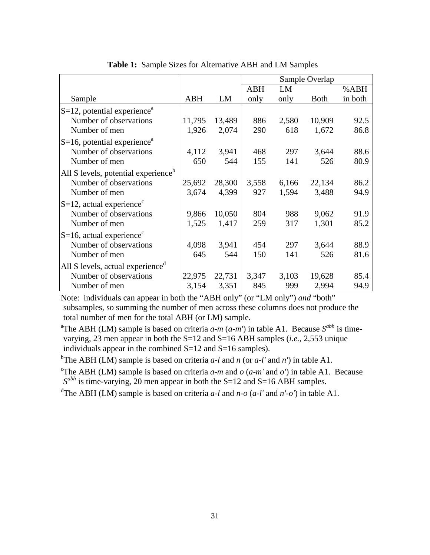|                                                 |            |        | Sample Overlap |       |             |         |
|-------------------------------------------------|------------|--------|----------------|-------|-------------|---------|
|                                                 |            |        | <b>ABH</b>     | LM    |             | %ABH    |
| Sample                                          | <b>ABH</b> | LM     | only           | only  | <b>Both</b> | in both |
| $S=12$ , potential experience <sup>a</sup>      |            |        |                |       |             |         |
| Number of observations                          | 11,795     | 13,489 | 886            | 2,580 | 10,909      | 92.5    |
| Number of men                                   | 1,926      | 2,074  | 290            | 618   | 1,672       | 86.8    |
| $S=16$ , potential experience <sup>a</sup>      |            |        |                |       |             |         |
| Number of observations                          | 4,112      | 3,941  | 468            | 297   | 3,644       | 88.6    |
| Number of men                                   | 650        | 544    | 155            | 141   | 526         | 80.9    |
| All S levels, potential experience <sup>b</sup> |            |        |                |       |             |         |
| Number of observations                          | 25,692     | 28,300 | 3,558          | 6,166 | 22,134      | 86.2    |
| Number of men                                   | 3,674      | 4,399  | 927            | 1,594 | 3,488       | 94.9    |
| $S=12$ , actual experience <sup>c</sup>         |            |        |                |       |             |         |
| Number of observations                          | 9,866      | 10,050 | 804            | 988   | 9,062       | 91.9    |
| Number of men                                   | 1,525      | 1,417  | 259            | 317   | 1,301       | 85.2    |
| $S=16$ , actual experience <sup>c</sup>         |            |        |                |       |             |         |
| Number of observations                          | 4,098      | 3,941  | 454            | 297   | 3,644       | 88.9    |
| Number of men                                   | 645        | 544    | 150            | 141   | 526         | 81.6    |
| All S levels, actual experience <sup>d</sup>    |            |        |                |       |             |         |
| Number of observations                          | 22,975     | 22,731 | 3,347          | 3,103 | 19,628      | 85.4    |
| Number of men                                   | 3,154      | 3,351  | 845            | 999   | 2,994       | 94.9    |

**Table 1:** Sample Sizes for Alternative ABH and LM Samples

Note: individuals can appear in both the "ABH only" (or "LM only") *and* "both" subsamples, so summing the number of men across these columns does not produce the total number of men for the total ABH (or LM) sample.

a The ABH (LM) sample is based on criteria *a-m* (*a-m'*) in table A1. Because *Sabh* is timevarying, 23 men appear in both the S=12 and S=16 ABH samples (*i.e.,* 2,553 unique individuals appear in the combined  $S=12$  and  $S=16$  samples).

b The ABH (LM) sample is based on criteria *a-l* and *n* (or *a-l'* and *n'*) in table A1.

<sup>c</sup>The ABH (LM) sample is based on criteria  $a-m$  and  $o$  ( $a-m'$  and  $o'$ ) in table A1. Because  $S^{abh}$  is time-varying, 20 men appear in both the S=12 and S=16 ABH samples.

d The ABH (LM) sample is based on criteria *a-l* and *n-o* (*a-l'* and *n'-o'*) in table A1.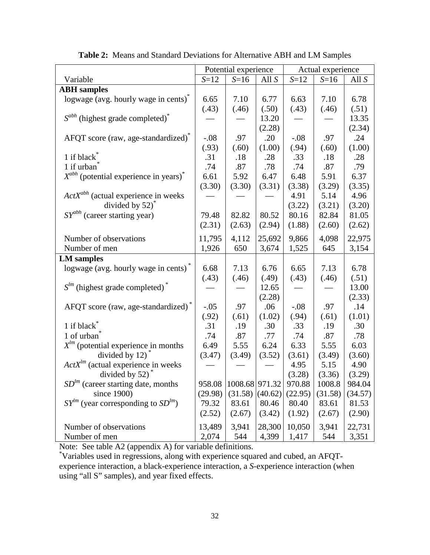|                                                        | Potential experience |                   |         | Actual experience |         |         |
|--------------------------------------------------------|----------------------|-------------------|---------|-------------------|---------|---------|
| Variable                                               | $S=12$               | $S=16$            | All $S$ | $S=12$            | $S=16$  | All $S$ |
| <b>ABH</b> samples                                     |                      |                   |         |                   |         |         |
| logwage (avg. hourly wage in cents) <sup>*</sup>       | 6.65                 | 7.10              | 6.77    | 6.63              | 7.10    | 6.78    |
|                                                        | (.43)                | (.46)             | (.50)   | (.43)             | (.46)   | (.51)   |
| $S^{abh}$ (highest grade completed) <sup>*</sup>       |                      |                   | 13.20   |                   |         | 13.35   |
|                                                        |                      |                   | (2.28)  |                   |         | (2.34)  |
| AFQT score (raw, age-standardized)*                    | $-.08$               | .97               | .20     | $-.08$            | .97     | .24     |
|                                                        | (.93)                | (.60)             | (1.00)  | (.94)             | (.60)   | (1.00)  |
| 1 if black <sup>*</sup>                                | .31                  | .18               | .28     | .33               | .18     | .28     |
| 1 if urban <sup>*</sup>                                | .74                  | .87               | .78     | .74               | .87     | .79     |
| $X^{abh}$ (potential experience in years) <sup>*</sup> | 6.61                 | 5.92              | 6.47    | 6.48              | 5.91    | 6.37    |
|                                                        | (3.30)               | (3.30)            | (3.31)  | (3.38)            | (3.29)  | (3.35)  |
| $ActX^{abh}$ (actual experience in weeks               |                      |                   |         | 4.91              | 5.14    | 4.96    |
| divided by $52)^*$                                     |                      |                   |         | (3.22)            | (3.21)  | (3.20)  |
| $SY^{abh}$ (career starting year)                      | 79.48                | 82.82             | 80.52   | 80.16             | 82.84   | 81.05   |
|                                                        | (2.31)               | (2.63)            | (2.94)  | (1.88)            | (2.60)  | (2.62)  |
|                                                        |                      |                   |         |                   |         |         |
| Number of observations                                 | 11,795               | 4,112             | 25,692  | 9,866             | 4,098   | 22,975  |
| Number of men                                          | 1,926                | 650               | 3,674   | 1,525             | 645     | 3,154   |
| <b>LM</b> samples                                      |                      |                   |         |                   |         |         |
| logwage (avg. hourly wage in cents)*                   | 6.68                 | 7.13              | 6.76    | 6.65              | 7.13    | 6.78    |
|                                                        | (.43)                | (.46)             | (.49)   | (.43)             | (.46)   | (.51)   |
| $S^{lm}$ (highest grade completed) <sup>*</sup>        |                      |                   | 12.65   |                   |         | 13.00   |
|                                                        |                      |                   | (2.28)  |                   |         | (2.33)  |
| AFQT score (raw, age-standardized) <sup>*</sup>        | $-.05$               | .97               | .06     | $-.08$            | .97     | .14     |
|                                                        | (.92)                | (.61)             | (1.02)  | (.94)             | (.61)   | (1.01)  |
| 1 if black <sup>*</sup>                                | .31                  | .19               | .30     | .33               | .19     | .30     |
| 1 of urban                                             | .74                  | .87               | .77     | .74               | .87     | .78     |
| $X^{lm}$ (potential experience in months               | 6.49                 | 5.55              | 6.24    | 6.33              | 5.55    | 6.03    |
| divided by $12)^*$                                     | (3.47)               | (3.49)            | (3.52)  | (3.61)            | (3.49)  | (3.60)  |
| $ActX^{lm}$ (actual experience in weeks                |                      |                   |         | 4.95              | 5.15    | 4.90    |
| divided by 52)                                         |                      |                   |         | (3.28)            | (3.36)  | (3.29)  |
| $SDlm$ (career starting date, months                   | 958.08               | 1008.68 971.32    |         | 970.88            | 1008.8  | 984.04  |
| since 1900)                                            | (29.98)              | $(31.58)$ (40.62) |         | (22.95)           | (31.58) | (34.57) |
| $SY^{lm}$ (year corresponding to $SD^{lm}$ )           | 79.32                | 83.61             | 80.46   | 80.40             | 83.61   | 81.53   |
|                                                        | (2.52)               | (2.67)            | (3.42)  | (1.92)            | (2.67)  | (2.90)  |
| Number of observations                                 | 13,489               | 3,941             | 28,300  | 10,050            | 3,941   | 22,731  |
| Number of men                                          | 2,074                | 544               | 4,399   | 1,417             | 544     | 3,351   |

**Table 2:** Means and Standard Deviations for Alternative ABH and LM Samples

Note: See table A2 (appendix A) for variable definitions.

\* Variables used in regressions, along with experience squared and cubed, an AFQTexperience interaction, a black-experience interaction, a *S*-experience interaction (when using "all S" samples), and year fixed effects.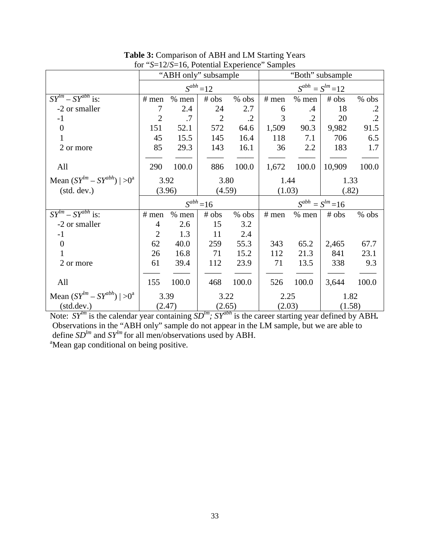|                                               |                |         | "ABH only" subsample |              |                         |                         | "Both" subsample |            |  |
|-----------------------------------------------|----------------|---------|----------------------|--------------|-------------------------|-------------------------|------------------|------------|--|
|                                               |                |         | $S^{abh} = 12$       |              |                         | $S^{abh} = S^{lm} = 12$ |                  |            |  |
| $SY^{lm} - SY^{abh}$ is:                      | $#$ men        | $%$ men | # obs                | % obs        | $#$ men                 | $%$ men                 | # obs            | $%$ obs    |  |
| -2 or smaller                                 | 7              | 2.4     | 24                   | 2.7          | 6                       | $\cdot$                 | 18               | $\cdot$ .2 |  |
| $-1$                                          | $\overline{2}$ | .7      | $\overline{2}$       | $\cdot$ .2   | 3                       | $\cdot$ .2              | 20               | $\cdot$ .2 |  |
| $\overline{0}$                                | 151            | 52.1    | 572                  | 64.6         | 1,509                   | 90.3                    | 9,982            | 91.5       |  |
| 1                                             | 45             | 15.5    | 145                  | 16.4         | 118                     | 7.1                     | 706              | 6.5        |  |
| 2 or more                                     | 85             | 29.3    | 143                  | 16.1         | 36                      | 2.2                     | 183              | 1.7        |  |
|                                               |                |         |                      |              |                         |                         |                  |            |  |
| All                                           | 290            | 100.0   | 886                  | 100.0        | 1,672                   | 100.0                   | 10,909           | 100.0      |  |
| Mean $(SY^{lm} - SY^{abh})$   >0 <sup>a</sup> | 3.92<br>3.80   |         |                      | 1.44<br>1.33 |                         |                         |                  |            |  |
| (stat. dev.)                                  | (3.96)         |         |                      | (4.59)       |                         | (1.03)                  |                  | (.82)      |  |
|                                               |                |         | $S^{abh} = 16$       |              | $S^{abh} = S^{lm} = 16$ |                         |                  |            |  |
| $SY^{lm} - SY^{abh}$ is:                      | $#$ men        | $%$ men | # obs                | % obs        | $#$ men                 | $%$ men                 | # obs            | % obs      |  |
| -2 or smaller                                 | $\overline{4}$ | 2.6     | 15                   | 3.2          |                         |                         |                  |            |  |
| $-1$                                          | $\overline{2}$ | 1.3     | 11                   | 2.4          |                         |                         |                  |            |  |
| $\overline{0}$                                | 62             | 40.0    | 259                  | 55.3         | 343                     | 65.2                    | 2,465            | 67.7       |  |
|                                               | 26             | 16.8    | 71                   | 15.2         | 112                     | 21.3                    | 841              | 23.1       |  |
| 2 or more                                     | 61             | 39.4    | 112                  | 23.9         | 71                      | 13.5                    | 338              | 9.3        |  |
|                                               |                |         |                      |              |                         |                         |                  |            |  |
| All                                           | 155            | 100.0   | 468                  | 100.0        | 526                     | 100.0                   | 3,644            | 100.0      |  |
| Mean $(SY^{lm} - SY^{abh})$   >0 <sup>a</sup> | 3.39<br>3.22   |         | 2.25                 |              | 1.82                    |                         |                  |            |  |
| (stat.dev.)                                   | (2.47)         |         | (2.65)               |              | (2.03)                  |                         | (1.58)           |            |  |

**Table 3:** Comparison of ABH and LM Starting Years for "*S*=12/*S*=16, Potential Experience" Samples

Note: *SY<sup>lm</sup>* is the calendar year containing *SD<sup>lm</sup>; SY*<sup>abh</sup> is the career starting year defined by ABH. Observations in the "ABH only" sample do not appear in the LM sample, but we are able to define  $SD^{lm}$  and  $SY^{lm}$  for all men/observations used by ABH. <sup>a</sup>Mean gap conditional on being positive.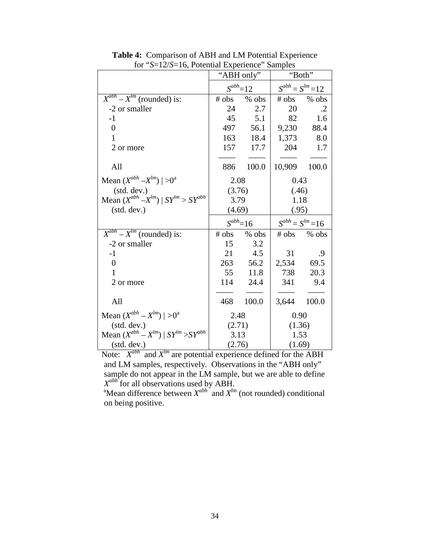|                                                  | "ABH only" |               |                         | "Both"                  |  |
|--------------------------------------------------|------------|---------------|-------------------------|-------------------------|--|
|                                                  |            | $S^{abh}$ =12 |                         | $S^{abh} = S^{lm} = 12$ |  |
| $X^{abh} - X^{lm}$ (rounded) is:                 | # obs      | % obs         | # obs                   | $%$ obs                 |  |
| -2 or smaller                                    | 24         | 2.7           | 20                      | $\cdot$ .2              |  |
| $-1$                                             |            | 45<br>5.1     | 82                      | 1.6                     |  |
| $\overline{0}$                                   | 497        | 56.1          | 9,230                   | 88.4                    |  |
| 1                                                |            | 163 18.4      | 1,373                   | 8.0                     |  |
| 2 or more                                        |            | 157 17.7      | 204                     | 1.7                     |  |
|                                                  |            |               |                         |                         |  |
| All                                              | 886        | 100.0         | 10,909                  | 100.0                   |  |
| Mean $(X^{abh} - X^{lm})$   >0 <sup>a</sup>      | 2.08       |               | 0.43                    |                         |  |
| (std. dev.)                                      | (3.76)     |               | (.46)                   |                         |  |
| Mean $(X^{abh} - X^{lm})$   $SY^{lm} > SY^{abh}$ | 3.79       |               | 1.18                    |                         |  |
| (stat. dev.)                                     | (4.69)     |               | (.95)                   |                         |  |
|                                                  |            | $S^{abh}=16$  | $S^{abh} = S^{lm} = 16$ |                         |  |
| $X^{abh} - X^{lm}$ (rounded) is:                 |            | # obs % obs   |                         | # obs % obs             |  |
| -2 or smaller                                    | 15         | 3.2           |                         |                         |  |
| $-1$                                             | 21         | 4.5           | 31                      | .9                      |  |
| $\overline{0}$                                   | 263        | 56.2          | 2,534                   | 69.5                    |  |
| 1                                                | 55         | 11.8          | 738                     | 20.3                    |  |
| 2 or more                                        | 114        | 24.4          | 341                     | 9.4                     |  |
| All                                              | 468        | 100.0         | 3,644                   | 100.0                   |  |
| Mean $(X^{abh} - X^{lm})$   >0 <sup>a</sup>      | 2.48       |               | 0.90                    |                         |  |
| (std. dev.)                                      | (2.71)     |               | (1.36)                  |                         |  |
| Mean $(X^{abh} - X^{lm})$   $SY^{lm} > SY^{abh}$ | 3.13       |               | 1.53                    |                         |  |
| (stat. dev.)                                     | (2.76)     |               | (1.69)                  |                         |  |

**Table 4:** Comparison of ABH and LM Potential Experience for "*S*=12/*S*=16, Potential Experience" Samples

Note:  $X^{abh}$  and  $X^{lm}$  are potential experience defined for the ABH and LM samples, respectively. Observations in the "ABH only" sample do not appear in the LM sample, but we are able to define  $X^{abh}$  for all observations used by ABH.<br><sup>a</sup>Mean difference between  $X^{abh}$  and  $X^{lm}$  (not rounded) conditional

on being positive.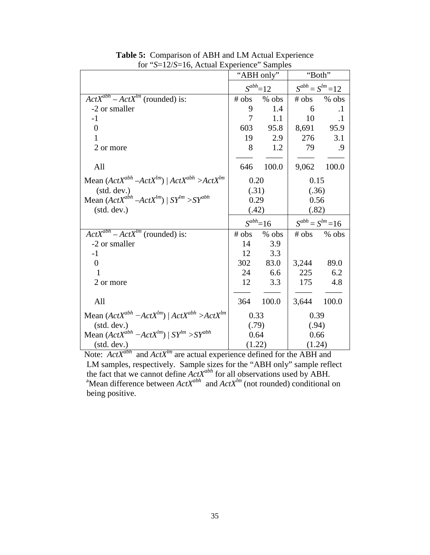|                                                          | "ABH only"     |          | "Both"  |                         |  |
|----------------------------------------------------------|----------------|----------|---------|-------------------------|--|
|                                                          | $S^{abh} = 12$ |          |         | $S^{abh} = S^{lm} = 12$ |  |
| $ActX^{abh} - ActX^{lm}$ (rounded) is:                   | # obs          | % obs    | # obs   | $%$ obs                 |  |
| -2 or smaller                                            | 9              | 1.4      | 6       | $\cdot$                 |  |
| $-1$                                                     | $\overline{7}$ | 1.1      | 10      | $\cdot$                 |  |
| $\overline{0}$                                           | 603            | 95.8     | 8,691   | 95.9                    |  |
| 1                                                        | 19             | 2.9      | 276     | 3.1                     |  |
| 2 or more                                                | 8              | 1.2      | 79      | .9                      |  |
|                                                          |                |          |         |                         |  |
| All                                                      | 646            | 100.0    | 9,062   | 100.0                   |  |
| Mean $(ActX^{abh} - ActX^{lm})   ActX^{abh} > ActX^{lm}$ | 0.20           |          | 0.15    |                         |  |
| (std. dev.)                                              | (.31)          |          | (.36)   |                         |  |
| Mean $(ActX^{abh} - ActX^{lm})$   $SY^{lm} > SY^{abh}$   | 0.29           |          | 0.56    |                         |  |
| (stat. dev.)                                             |                | (.42)    |         | (.82)                   |  |
|                                                          | $S^{abh}=16$   |          |         | $S^{abh} = S^{lm} = 16$ |  |
| $ActX^{abh} - ActX^{lm}$ (rounded) is:                   | # obs          | $%$ obs  | $#$ obs | $%$ obs                 |  |
| -2 or smaller                                            | 14             | 3.9      |         |                         |  |
| $-1$                                                     | 12             | 3.3      |         |                         |  |
| $\overline{0}$                                           |                | 302 83.0 | 3,244   | 89.0                    |  |
| 1                                                        | 24             | 6.6      | 225     | 6.2                     |  |
| 2 or more                                                | 12             | 3.3      | 175     | 4.8                     |  |
|                                                          |                |          |         |                         |  |
| All                                                      | 364            | 100.0    | 3,644   | 100.0                   |  |
| Mean $(ActX^{abh} - ActX^{lm})   ActX^{abh} > ActX^{lm}$ | 0.33           |          | 0.39    |                         |  |
| (stat. dev.)                                             | (.79)          |          | (.94)   |                         |  |
| Mean $(ActX^{abh} - ActX^{lm})$   $SY^{lm} > SY^{abh}$   | 0.64           |          |         | 0.66                    |  |
| (stat. dev.)                                             |                | (1.22)   |         | (1.24)                  |  |

**Table 5:** Comparison of ABH and LM Actual Experience for "*S*=12/*S*=16, Actual Experience" Samples

Note: *ActX<sup>abh</sup>* and *ActX<sup>lm</sup>* are actual experience defined for the ABH and LM samples, respectively. Sample sizes for the "ABH only" sample reflect the fact that we cannot define  $ActX^{abh}$  for all observations used by ABH.<br><sup>a</sup>Mean difference between  $ActX^{abh}$  and  $ActX^{lm}$  (not rounded) conditional on being positive.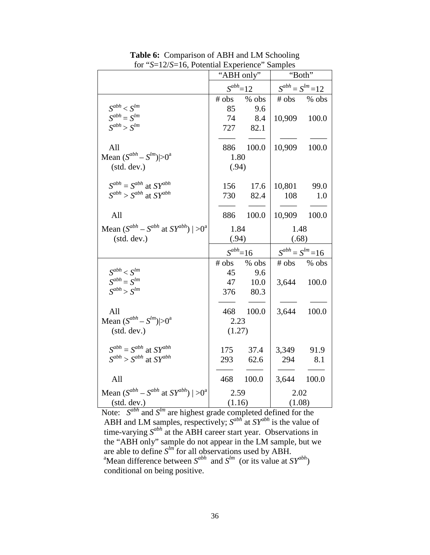|                                                             |                | "ABH only"  | "Both"                  |             |  |
|-------------------------------------------------------------|----------------|-------------|-------------------------|-------------|--|
|                                                             | $S^{abh} = 12$ |             | $S^{abh} = S^{lm} = 12$ |             |  |
|                                                             | # obs          | % obs       |                         | # obs % obs |  |
| $S^{abh} < S^{lm}$                                          | 85             | 9.6         |                         |             |  |
| $S^{abh} = S^{lm}$                                          | 74             | 8.4         | 10,909                  | 100.0       |  |
| $S^{abh} > S^{lm}$                                          |                | 727 82.1    |                         |             |  |
| All                                                         |                | 886 100.0   | 10,909                  | 100.0       |  |
| Mean $(S^{abh} - S^{lm}) > 0^a$                             | 1.80           |             |                         |             |  |
| (stat. dev.)                                                | (.94)          |             |                         |             |  |
| $S^{abh} = S^{abh}$ at $SY^{abh}$                           |                | 156 17.6    | 10,801                  | 99.0        |  |
| $S^{abh} > S^{abh}$ at $SY^{abh}$                           |                | 730 82.4    | 108                     | 1.0         |  |
| All                                                         |                | 886 100.0   | 10,909                  | 100.0       |  |
| Mean $(S^{abh} - S^{abh}$ at $SY^{abh}$ )   >0 <sup>a</sup> | 1.84           |             | 1.48                    |             |  |
| (stat. dev.)                                                | (.94)          |             | (.68)                   |             |  |
|                                                             |                |             | $S^{abh} = S^{lm} = 16$ |             |  |
|                                                             | $S^{abh}=16$   |             |                         |             |  |
|                                                             |                | # obs % obs |                         | # obs % obs |  |
| $S^{abh} < S^{lm}$                                          |                | 45 9.6      |                         |             |  |
| $S^{abh} = S^{lm}$                                          |                | 47 10.0     |                         | 3,644 100.0 |  |
| $S^{abh} > S^{lm}$                                          |                | 376 80.3    |                         |             |  |
| All                                                         |                | 468 100.0   | 3,644                   | 100.0       |  |
| Mean $(S^{abh} - S^{lm}) > 0^a$                             | 2.23           |             |                         |             |  |
| (stat. dev.)                                                | (1.27)         |             |                         |             |  |
| $S^{abh} = S^{abh}$ at $SY^{abh}$                           | 175            | 37.4        | 3,349 91.9              |             |  |
| $S^{abh} > S^{abh}$ at $SY^{abh}$                           |                | 293 62.6    |                         | 294 8.1     |  |
| All                                                         | 468            | 100.0       | 3,644 100.0             |             |  |
| Mean $(S^{abh} - S^{abh}$ at $SY^{abh}$   >0 <sup>a</sup>   | 2.59           |             | 2.02                    |             |  |
| (std. dev.)                                                 | (1.16)         |             | (1.08)                  |             |  |

**Table 6:** Comparison of ABH and LM Schooling for "*S*=12/*S*=16, Potential Experience" Samples

Note: *S*<sup>abh</sup> and *S*<sup>lm</sup> are highest grade completed defined for the ABH and LM samples, respectively;  $S^{abh}$  at  $SY^{abh}$  is the value of time-varying *Sabh* at the ABH career start year. Observations in the "ABH only" sample do not appear in the LM sample, but we are able to define  $S^{lm}$  for all observations used by ABH.<br><sup>a</sup>Mean difference between  $S^{abh}$  and  $S^{lm}$  (or its value at  $SY^{abh}$ ) conditional on being positive.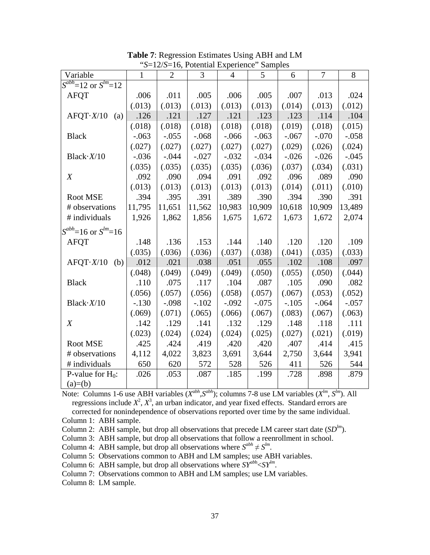| Variable                      | 1       | $\overline{2}$ | 3       | 4       | 5       | 6       | 7       | 8       |
|-------------------------------|---------|----------------|---------|---------|---------|---------|---------|---------|
| $S^{abh}$ =12 or $S^{lm}$ =12 |         |                |         |         |         |         |         |         |
| <b>AFQT</b>                   | .006    | .011           | .005    | .006    | .005    | .007    | .013    | .024    |
|                               | (.013)  | (.013)         | (.013)  | (.013)  | (.013)  | (.014)  | (.013)  | (.012)  |
| $A$ FQT $\cdot$ X/10<br>(a)   | .126    | .121           | .127    | .121    | .123    | .123    | .114    | .104    |
|                               | (.018)  | (.018)         | (.018)  | (.018)  | (.018)  | (.019)  | (.018)  | (.015)  |
| <b>Black</b>                  | $-.063$ | $-.055$        | $-.068$ | $-.066$ | $-.063$ | $-.067$ | $-.070$ | $-.058$ |
|                               | (.027)  | (.027)         | (.027)  | (.027)  | (.027)  | (.029)  | (.026)  | (.024)  |
| Black $\cdot X/10$            | $-.036$ | $-.044$        | $-.027$ | $-.032$ | $-.034$ | $-.026$ | $-.026$ | $-.045$ |
|                               | (.035)  | (.035)         | (.035)  | (.035)  | (.036)  | (.037)  | (.034)  | (.031)  |
| $\boldsymbol{X}$              | .092    | .090           | .094    | .091    | .092    | .096    | .089    | .090    |
|                               | (.013)  | (.013)         | (.013)  | (.013)  | (.013)  | (.014)  | (.011)  | (.010)  |
| Root MSE                      | .394    | .395           | .391    | .389    | .390    | .394    | .390    | .391    |
| # observations                | 11,795  | 11,651         | 11,562  | 10,983  | 10,909  | 10,618  | 10,909  | 13,489  |
| # individuals                 | 1,926   | 1,862          | 1,856   | 1,675   | 1,672   | 1,673   | 1,672   | 2,074   |
| $S^{abh}$ =16 or $S^{lm}$ =16 |         |                |         |         |         |         |         |         |
| <b>AFOT</b>                   | .148    | .136           | .153    | .144    | .140    | .120    | .120    | .109    |
|                               | (.035)  | (.036)         | (.036)  | (.037)  | (.038)  | (.041)  | (.035)  | (.033)  |
| $A$ FQT $\cdot$ X/10<br>(b)   | .012    | .021           | .038    | .051    | .055    | .102    | .108    | .097    |
|                               | (.048)  | (.049)         | (.049)  | (.049)  | (.050)  | (.055)  | (.050)  | (.044)  |
| <b>Black</b>                  | .110    | .075           | .117    | .104    | .087    | .105    | .090    | .082    |
|                               | (.056)  | (.057)         | (.056)  | (.058)  | (.057)  | (.067)  | (.053)  | (.052)  |
| Black $\cdot X/10$            | $-.130$ | $-.098$        | $-.102$ | $-.092$ | $-.075$ | $-.105$ | $-.064$ | $-.057$ |
|                               | (.069)  | (.071)         | (.065)  | (.066)  | (.067)  | (.083)  | (.067)  | (.063)  |
| X                             | .142    | .129           | .141    | .132    | .129    | .148    | .118    | .111    |
|                               | (.023)  | (.024)         | (.024)  | (.024)  | (.025)  | (.027)  | (.021)  | (.019)  |
| Root MSE                      | .425    | .424           | .419    | .420    | .420    | .407    | .414    | .415    |
| # observations                | 4,112   | 4,022          | 3,823   | 3,691   | 3,644   | 2,750   | 3,644   | 3,941   |
| # individuals                 | 650     | 620            | 572     | 528     | 526     | 411     | 526     | 544     |
| P-value for $H_0$ :           | .026    | .053           | .087    | .185    | .199    | .728    | .898    | .879    |
| $(a)=(b)$                     |         |                |         |         |         |         |         |         |

**Table 7**: Regression Estimates Using ABH and LM "*S*=12/*S*=16, Potential Experience" Samples

Note: Columns 1-6 use ABH variables ( $X^{abh}$ ,  $S^{abh}$ ); columns 7-8 use LM variables ( $X^{lm}$ ,  $S^{lm}$ ). All regressions include  $X^2$ ,  $X^3$ , an urban indicator, and year fixed effects. Standard errors are corrected for nonindependence of observations reported over time by the same individual. Column 1: ABH sample.

Column 2: ABH sample, but drop all observations that precede LM career start date  $(SD<sup>lm</sup>)$ .

Column 3: ABH sample, but drop all observations that follow a reenrollment in school.

Column 4: ABH sample, but drop all observations where  $S^{abh} \neq S^{lm}$ .

Column 5: Observations common to ABH and LM samples; use ABH variables.

Column 6: ABH sample, but drop all observations where  $SY^{abh} < SY^{lm}$ .

Column 7: Observations common to ABH and LM samples; use LM variables.

Column 8: LM sample.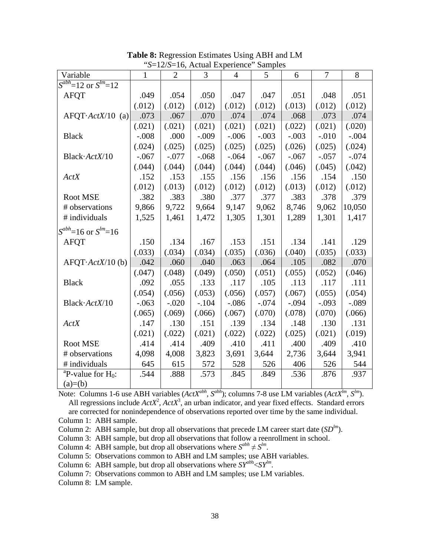| Variable                         | ມ—⊥∠/ມ<br>$\mathbf{1}$ | $\overline{2}$ | 3       | $-10$ , Actual Lapelleire<br>$\overline{4}$ | $\mu$ ampics<br>5 | 6       | 7       | 8       |
|----------------------------------|------------------------|----------------|---------|---------------------------------------------|-------------------|---------|---------|---------|
| $S^{abh}$ =12 or $S^{lm}$ =12    |                        |                |         |                                             |                   |         |         |         |
|                                  |                        |                |         |                                             |                   |         |         |         |
| <b>AFQT</b>                      | .049                   | .054           | .050    | .047                                        | .047              | .051    | .048    | .051    |
|                                  | (.012)                 | (.012)         | (.012)  | (.012)                                      | (.012)            | (.013)  | (.012)  | (.012)  |
| $AFQT·ActX/10$ (a)               | .073                   | .067           | .070    | .074                                        | .074              | .068    | .073    | .074    |
|                                  | (.021)                 | (.021)         | (.021)  | (.021)                                      | (.021)            | (.022)  | (.021)  | (.020)  |
| <b>Black</b>                     | $-.008$                | .000           | $-.009$ | $-.006$                                     | $-.003$           | $-.003$ | $-.010$ | $-.004$ |
|                                  | (.024)                 | (.025)         | (.025)  | (.025)                                      | (.025)            | (.026)  | (.025)  | (.024)  |
| Black·ActX/10                    | $-.067$                | $-.077$        | $-.068$ | $-.064$                                     | $-.067$           | $-.067$ | $-.057$ | $-.074$ |
|                                  | (.044)                 | (.044)         | (.044)  | (.044)                                      | (.044)            | (.046)  | (.045)  | (.042)  |
| ActX                             | .152                   | .153           | .155    | .156                                        | .156              | .156    | .154    | .150    |
|                                  | (.012)                 | (.013)         | (.012)  | (.012)                                      | (.012)            | (.013)  | (.012)  | (.012)  |
| Root MSE                         | .382                   | .383           | .380    | .377                                        | .377              | .383    | .378    | .379    |
| # observations                   | 9,866                  | 9,722          | 9,664   | 9,147                                       | 9,062             | 8,746   | 9,062   | 10,050  |
| # individuals                    | 1,525                  | 1,461          | 1,472   | 1,305                                       | 1,301             | 1,289   | 1,301   | 1,417   |
| $S^{abh}=16$ or $S^{lm}=16$      |                        |                |         |                                             |                   |         |         |         |
| <b>AFQT</b>                      | .150                   | .134           | .167    | .153                                        | .151              | .134    | .141    | .129    |
|                                  | (.033)                 | (.034)         | (.034)  | (.035)                                      | (.036)            | (.040)  | (.035)  | (.033)  |
| $AFQT \cdot \text{ActX}/10$ (b)  | .042                   | .060           | .040    | .063                                        | .064              | .105    | .082    | .070    |
|                                  | (.047)                 | (.048)         | (.049)  | (.050)                                      | (.051)            | (.055)  | (.052)  | (.046)  |
| <b>Black</b>                     | .092                   | .055           | .133    | .117                                        | .105              | .113    | .117    | .111    |
|                                  | (.054)                 | (.056)         | (.053)  | (.056)                                      | (.057)            | (.067)  | (.055)  | (.054)  |
| Black·ActX/10                    | $-.063$                | $-.020$        | $-.104$ | $-.086$                                     | $-.074$           | $-.094$ | $-.093$ | $-.089$ |
|                                  | (.065)                 | (.069)         | (.066)  | (.067)                                      | (.070)            | (.078)  | (.070)  | (.066)  |
| ActX                             | .147                   | .130           | .151    | .139                                        | .134              | .148    | .130    | .131    |
|                                  | (.021)                 | (.022)         | (.021)  | (.022)                                      | (.022)            | (.025)  | (.021)  | (.019)  |
| Root MSE                         | .414                   | .414           | .409    | .410                                        | .411              | .400    | .409    | .410    |
| # observations                   | 4,098                  | 4,008          | 3,823   | 3,691                                       | 3,644             | 2,736   | 3,644   | 3,941   |
| # individuals                    | 645                    | 615            | 572     | 528                                         | 526               | 406     | 526     | 544     |
| <sup>a</sup> P-value for $H_0$ : | .544                   | .888           | .573    | .845                                        | .849              | .536    | .876    | .937    |
| $(a)=(b)$                        |                        |                |         |                                             |                   |         |         |         |

**Table 8:** Regression Estimates Using ABH and LM "*S*=12/*S*=16, Actual Experience" Samples

Note: Columns 1-6 use ABH variables (*ActXabh, Sabh*); columns 7-8 use LM variables (*ActXlm*, *Slm*). All regressions include  $ActX^2$ ,  $ActX^3$ , an urban indicator, and year fixed effects. Standard errors are corrected for nonindependence of observations reported over time by the same individual. Column 1: ABH sample.

Column 2: ABH sample, but drop all observations that precede LM career start date (*SDlm*).

Column 3: ABH sample, but drop all observations that follow a reenrollment in school.

Column 4: ABH sample, but drop all observations where  $S^{abh} \neq S^{lm}$ .

Column 5: Observations common to ABH and LM samples; use ABH variables.

Column 6: ABH sample, but drop all observations where  $SY^{abh} < SY^{lm}$ .

Column 7: Observations common to ABH and LM samples; use LM variables.

Column 8: LM sample.